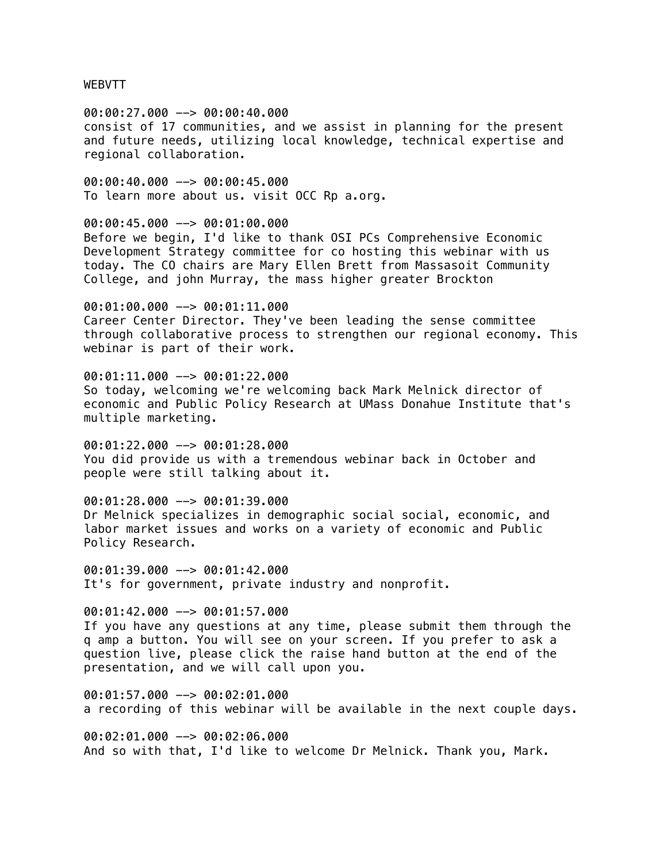WEBVTT

00:00:27.000 --> 00:00:40.000 consist of 17 communities, and we assist in planning for the present and future needs, utilizing local knowledge, technical expertise and regional collaboration.

00:00:40.000 --> 00:00:45.000 To learn more about us. visit OCC Rp a.org.

00:00:45.000 --> 00:01:00.000 Before we begin, I'd like to thank OSI PCs Comprehensive Economic Development Strategy committee for co hosting this webinar with us today. The CO chairs are Mary Ellen Brett from Massasoit Community College, and john Murray, the mass higher greater Brockton

00:01:00.000 --> 00:01:11.000 Career Center Director. They've been leading the sense committee through collaborative process to strengthen our regional economy. This webinar is part of their work.

00:01:11.000 --> 00:01:22.000 So today, welcoming we're welcoming back Mark Melnick director of economic and Public Policy Research at UMass Donahue Institute that's multiple marketing.

00:01:22.000 --> 00:01:28.000 You did provide us with a tremendous webinar back in October and people were still talking about it.

00:01:28.000 --> 00:01:39.000 Dr Melnick specializes in demographic social social, economic, and labor market issues and works on a variety of economic and Public Policy Research.

00:01:39.000 --> 00:01:42.000 It's for government, private industry and nonprofit.

00:01:42.000 --> 00:01:57.000 If you have any questions at any time, please submit them through the q amp a button. You will see on your screen. If you prefer to ask a question live, please click the raise hand button at the end of the presentation, and we will call upon you.

00:01:57.000 --> 00:02:01.000 a recording of this webinar will be available in the next couple days.

00:02:01.000 --> 00:02:06.000 And so with that, I'd like to welcome Dr Melnick. Thank you, Mark.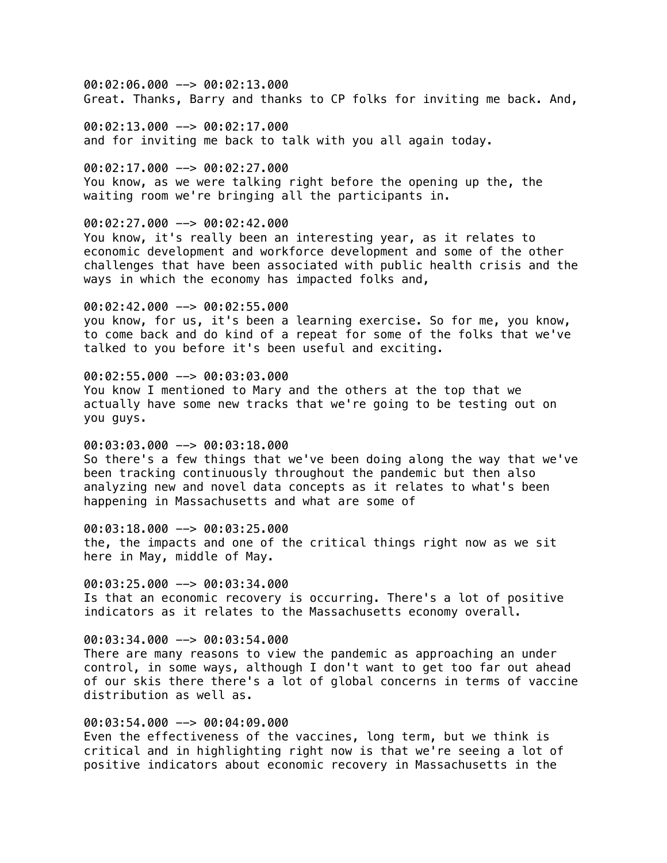00:02:06.000 --> 00:02:13.000 Great. Thanks, Barry and thanks to CP folks for inviting me back. And,

00:02:13.000 --> 00:02:17.000 and for inviting me back to talk with you all again today.

00:02:17.000 --> 00:02:27.000 You know, as we were talking right before the opening up the, the waiting room we're bringing all the participants in.

### 00:02:27.000 --> 00:02:42.000

You know, it's really been an interesting year, as it relates to economic development and workforce development and some of the other challenges that have been associated with public health crisis and the ways in which the economy has impacted folks and,

# 00:02:42.000 --> 00:02:55.000

you know, for us, it's been a learning exercise. So for me, you know, to come back and do kind of a repeat for some of the folks that we've talked to you before it's been useful and exciting.

### 00:02:55.000 --> 00:03:03.000

You know I mentioned to Mary and the others at the top that we actually have some new tracks that we're going to be testing out on you guys.

### 00:03:03.000 --> 00:03:18.000

So there's a few things that we've been doing along the way that we've been tracking continuously throughout the pandemic but then also analyzing new and novel data concepts as it relates to what's been happening in Massachusetts and what are some of

#### 00:03:18.000 --> 00:03:25.000

the, the impacts and one of the critical things right now as we sit here in May, middle of May.

 $00:03:25.000$  -->  $00:03:34.000$ 

Is that an economic recovery is occurring. There's a lot of positive indicators as it relates to the Massachusetts economy overall.

#### 00:03:34.000 --> 00:03:54.000

There are many reasons to view the pandemic as approaching an under control, in some ways, although I don't want to get too far out ahead of our skis there there's a lot of global concerns in terms of vaccine distribution as well as.

### 00:03:54.000 --> 00:04:09.000

Even the effectiveness of the vaccines, long term, but we think is critical and in highlighting right now is that we're seeing a lot of positive indicators about economic recovery in Massachusetts in the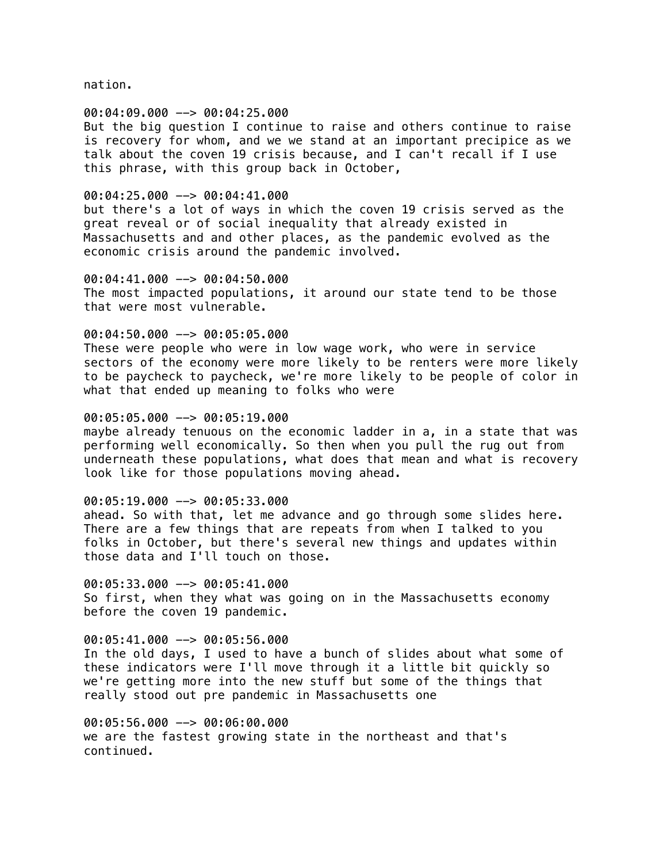nation.

#### 00:04:09.000 --> 00:04:25.000

But the big question I continue to raise and others continue to raise is recovery for whom, and we we stand at an important precipice as we talk about the coven 19 crisis because, and I can't recall if I use this phrase, with this group back in October,

#### 00:04:25.000 --> 00:04:41.000

but there's a lot of ways in which the coven 19 crisis served as the great reveal or of social inequality that already existed in Massachusetts and and other places, as the pandemic evolved as the economic crisis around the pandemic involved.

00:04:41.000 --> 00:04:50.000 The most impacted populations, it around our state tend to be those that were most vulnerable.

# 00:04:50.000 --> 00:05:05.000

These were people who were in low wage work, who were in service sectors of the economy were more likely to be renters were more likely to be paycheck to paycheck, we're more likely to be people of color in what that ended up meaning to folks who were

#### 00:05:05.000 --> 00:05:19.000

maybe already tenuous on the economic ladder in a, in a state that was performing well economically. So then when you pull the rug out from underneath these populations, what does that mean and what is recovery look like for those populations moving ahead.

# 00:05:19.000 --> 00:05:33.000

ahead. So with that, let me advance and go through some slides here. There are a few things that are repeats from when I talked to you folks in October, but there's several new things and updates within those data and I'll touch on those.

00:05:33.000 --> 00:05:41.000 So first, when they what was going on in the Massachusetts economy before the coven 19 pandemic.

#### 00:05:41.000 --> 00:05:56.000

In the old days, I used to have a bunch of slides about what some of these indicators were I'll move through it a little bit quickly so we're getting more into the new stuff but some of the things that really stood out pre pandemic in Massachusetts one

00:05:56.000 --> 00:06:00.000 we are the fastest growing state in the northeast and that's continued.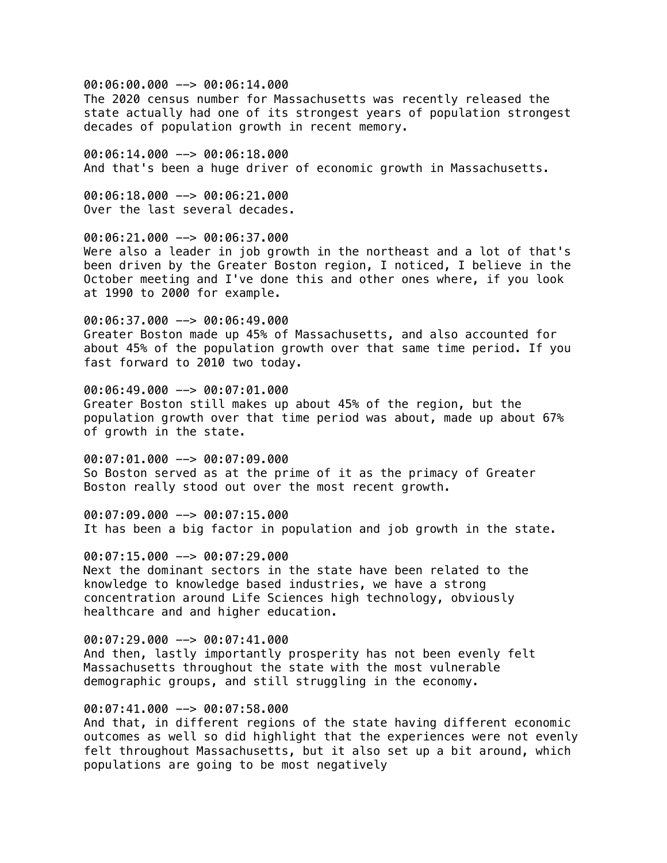00:06:00.000 --> 00:06:14.000 The 2020 census number for Massachusetts was recently released the state actually had one of its strongest years of population strongest decades of population growth in recent memory.

00:06:14.000 --> 00:06:18.000 And that's been a huge driver of economic growth in Massachusetts.

00:06:18.000 --> 00:06:21.000 Over the last several decades.

00:06:21.000 --> 00:06:37.000 Were also a leader in job growth in the northeast and a lot of that's been driven by the Greater Boston region, I noticed, I believe in the October meeting and I've done this and other ones where, if you look at 1990 to 2000 for example.

00:06:37.000 --> 00:06:49.000 Greater Boston made up 45% of Massachusetts, and also accounted for about 45% of the population growth over that same time period. If you fast forward to 2010 two today.

00:06:49.000 --> 00:07:01.000 Greater Boston still makes up about 45% of the region, but the population growth over that time period was about, made up about 67% of growth in the state.

00:07:01.000 --> 00:07:09.000 So Boston served as at the prime of it as the primacy of Greater Boston really stood out over the most recent growth.

00:07:09.000 --> 00:07:15.000 It has been a big factor in population and job growth in the state.

00:07:15.000 --> 00:07:29.000 Next the dominant sectors in the state have been related to the knowledge to knowledge based industries, we have a strong concentration around Life Sciences high technology, obviously healthcare and and higher education.

00:07:29.000 --> 00:07:41.000 And then, lastly importantly prosperity has not been evenly felt Massachusetts throughout the state with the most vulnerable demographic groups, and still struggling in the economy.

### 00:07:41.000 --> 00:07:58.000

And that, in different regions of the state having different economic outcomes as well so did highlight that the experiences were not evenly felt throughout Massachusetts, but it also set up a bit around, which populations are going to be most negatively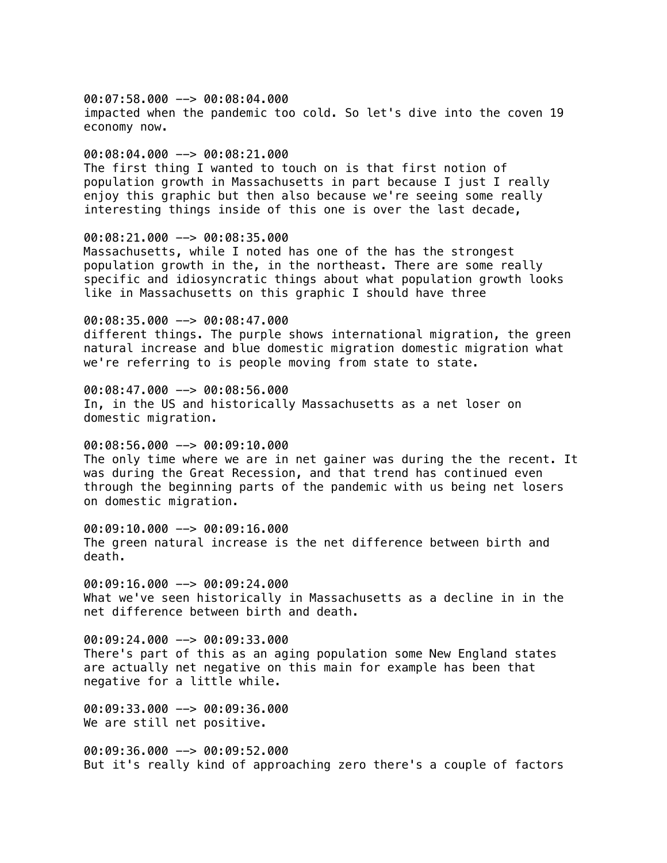00:07:58.000 --> 00:08:04.000 impacted when the pandemic too cold. So let's dive into the coven 19 economy now.

#### 00:08:04.000 --> 00:08:21.000

The first thing I wanted to touch on is that first notion of population growth in Massachusetts in part because I just I really enjoy this graphic but then also because we're seeing some really interesting things inside of this one is over the last decade,

### 00:08:21.000 --> 00:08:35.000

Massachusetts, while I noted has one of the has the strongest population growth in the, in the northeast. There are some really specific and idiosyncratic things about what population growth looks like in Massachusetts on this graphic I should have three

00:08:35.000 --> 00:08:47.000 different things. The purple shows international migration, the green

natural increase and blue domestic migration domestic migration what we're referring to is people moving from state to state.

00:08:47.000 --> 00:08:56.000 In, in the US and historically Massachusetts as a net loser on domestic migration.

00:08:56.000 --> 00:09:10.000 The only time where we are in net gainer was during the the recent. It was during the Great Recession, and that trend has continued even through the beginning parts of the pandemic with us being net losers on domestic migration.

00:09:10.000 --> 00:09:16.000 The green natural increase is the net difference between birth and death.

 $00:09:16.000$  -->  $00:09:24.000$ What we've seen historically in Massachusetts as a decline in in the net difference between birth and death.

00:09:24.000 --> 00:09:33.000 There's part of this as an aging population some New England states are actually net negative on this main for example has been that negative for a little while.

00:09:33.000 --> 00:09:36.000 We are still net positive.

00:09:36.000 --> 00:09:52.000 But it's really kind of approaching zero there's a couple of factors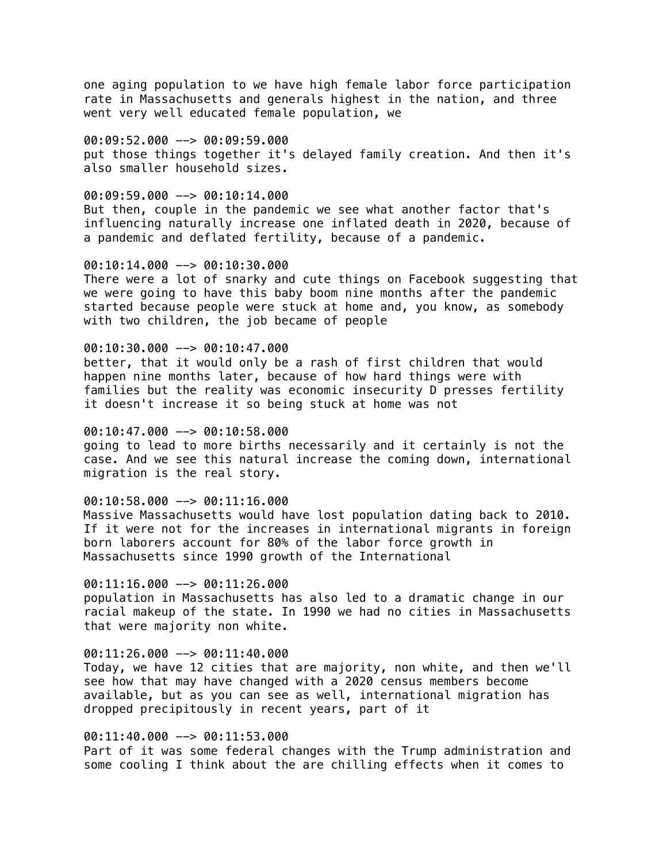one aging population to we have high female labor force participation rate in Massachusetts and generals highest in the nation, and three went very well educated female population, we

 $00:09:52.000$  -->  $00:09:59.000$ put those things together it's delayed family creation. And then it's also smaller household sizes.

# $00:09:59.000$  -->  $00:10:14.000$

But then, couple in the pandemic we see what another factor that's influencing naturally increase one inflated death in 2020, because of a pandemic and deflated fertility, because of a pandemic.

## 00:10:14.000 --> 00:10:30.000

There were a lot of snarky and cute things on Facebook suggesting that we were going to have this baby boom nine months after the pandemic started because people were stuck at home and, you know, as somebody with two children, the job became of people

#### 00:10:30.000 --> 00:10:47.000

better, that it would only be a rash of first children that would happen nine months later, because of how hard things were with families but the reality was economic insecurity D presses fertility it doesn't increase it so being stuck at home was not

#### 00:10:47.000 --> 00:10:58.000

going to lead to more births necessarily and it certainly is not the case. And we see this natural increase the coming down, international migration is the real story.

#### 00:10:58.000 --> 00:11:16.000

Massive Massachusetts would have lost population dating back to 2010. If it were not for the increases in international migrants in foreign born laborers account for 80% of the labor force growth in Massachusetts since 1990 growth of the International

#### $00:11:16.000$  -->  $00:11:26.000$

population in Massachusetts has also led to a dramatic change in our racial makeup of the state. In 1990 we had no cities in Massachusetts that were majority non white.

# 00:11:26.000 --> 00:11:40.000

Today, we have 12 cities that are majority, non white, and then we'll see how that may have changed with a 2020 census members become available, but as you can see as well, international migration has dropped precipitously in recent years, part of it

### 00:11:40.000 --> 00:11:53.000

Part of it was some federal changes with the Trump administration and some cooling I think about the are chilling effects when it comes to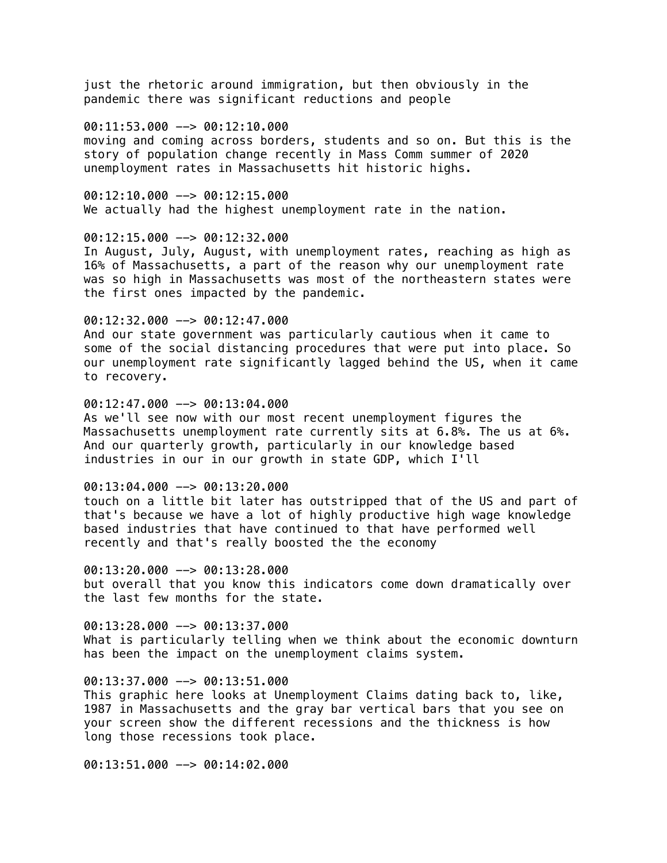just the rhetoric around immigration, but then obviously in the pandemic there was significant reductions and people

# 00:11:53.000 --> 00:12:10.000

moving and coming across borders, students and so on. But this is the story of population change recently in Mass Comm summer of 2020 unemployment rates in Massachusetts hit historic highs.

00:12:10.000 --> 00:12:15.000 We actually had the highest unemployment rate in the nation.

#### 00:12:15.000 --> 00:12:32.000

In August, July, August, with unemployment rates, reaching as high as 16% of Massachusetts, a part of the reason why our unemployment rate was so high in Massachusetts was most of the northeastern states were the first ones impacted by the pandemic.

### 00:12:32.000 --> 00:12:47.000

And our state government was particularly cautious when it came to some of the social distancing procedures that were put into place. So our unemployment rate significantly lagged behind the US, when it came to recovery.

## $00:12:47.000$   $\rightarrow$  00:13:04.000

As we'll see now with our most recent unemployment figures the Massachusetts unemployment rate currently sits at 6.8%. The us at 6%. And our quarterly growth, particularly in our knowledge based industries in our in our growth in state GDP, which I'll

#### $00:13:04.000$  -->  $00:13:20.000$

touch on a little bit later has outstripped that of the US and part of that's because we have a lot of highly productive high wage knowledge based industries that have continued to that have performed well recently and that's really boosted the the economy

00:13:20.000 --> 00:13:28.000 but overall that you know this indicators come down dramatically over the last few months for the state.

## $00:13:28.000$  -->  $00:13:37.000$ What is particularly telling when we think about the economic downturn has been the impact on the unemployment claims system.

#### 00:13:37.000 --> 00:13:51.000

This graphic here looks at Unemployment Claims dating back to, like, 1987 in Massachusetts and the gray bar vertical bars that you see on your screen show the different recessions and the thickness is how long those recessions took place.

00:13:51.000 --> 00:14:02.000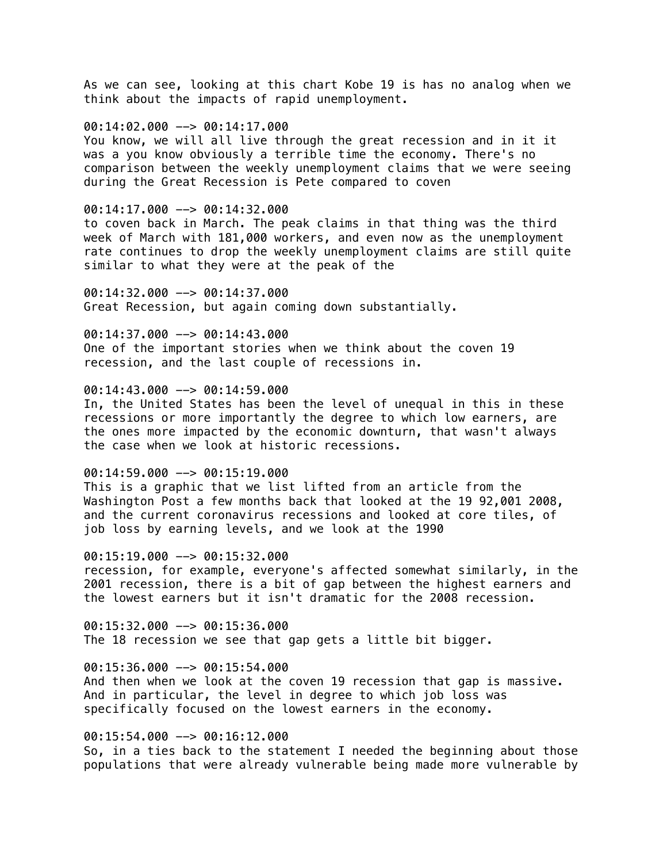As we can see, looking at this chart Kobe 19 is has no analog when we think about the impacts of rapid unemployment.

### 00:14:02.000 --> 00:14:17.000

You know, we will all live through the great recession and in it it was a you know obviously a terrible time the economy. There's no comparison between the weekly unemployment claims that we were seeing during the Great Recession is Pete compared to coven

#### 00:14:17.000 --> 00:14:32.000

to coven back in March. The peak claims in that thing was the third week of March with 181,000 workers, and even now as the unemployment rate continues to drop the weekly unemployment claims are still quite similar to what they were at the peak of the

00:14:32.000 --> 00:14:37.000 Great Recession, but again coming down substantially.

00:14:37.000 --> 00:14:43.000 One of the important stories when we think about the coven 19 recession, and the last couple of recessions in.

### 00:14:43.000 --> 00:14:59.000

In, the United States has been the level of unequal in this in these recessions or more importantly the degree to which low earners, are the ones more impacted by the economic downturn, that wasn't always the case when we look at historic recessions.

# 00:14:59.000 --> 00:15:19.000

This is a graphic that we list lifted from an article from the Washington Post a few months back that looked at the 19 92,001 2008, and the current coronavirus recessions and looked at core tiles, of job loss by earning levels, and we look at the 1990

#### 00:15:19.000 --> 00:15:32.000

recession, for example, everyone's affected somewhat similarly, in the 2001 recession, there is a bit of gap between the highest earners and the lowest earners but it isn't dramatic for the 2008 recession.

00:15:32.000 --> 00:15:36.000 The 18 recession we see that gap gets a little bit bigger.

#### $00:15:36.000$  -->  $00:15:54.000$

And then when we look at the coven 19 recession that gap is massive. And in particular, the level in degree to which job loss was specifically focused on the lowest earners in the economy.

## 00:15:54.000 --> 00:16:12.000

So, in a ties back to the statement I needed the beginning about those populations that were already vulnerable being made more vulnerable by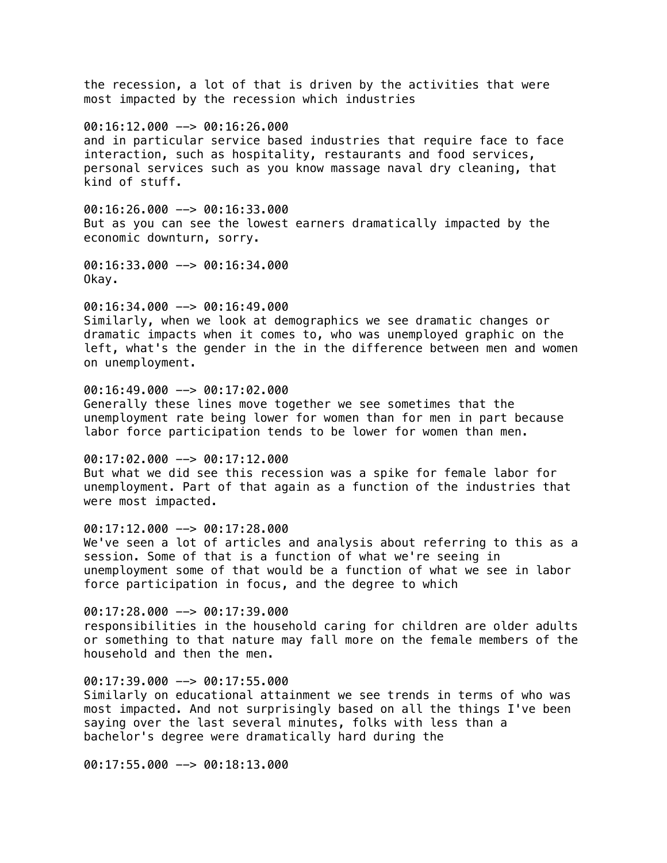the recession, a lot of that is driven by the activities that were most impacted by the recession which industries

### 00:16:12.000 --> 00:16:26.000

and in particular service based industries that require face to face interaction, such as hospitality, restaurants and food services, personal services such as you know massage naval dry cleaning, that kind of stuff.

00:16:26.000 --> 00:16:33.000 But as you can see the lowest earners dramatically impacted by the economic downturn, sorry.

00:16:33.000 --> 00:16:34.000 Okay.

00:16:34.000 --> 00:16:49.000 Similarly, when we look at demographics we see dramatic changes or dramatic impacts when it comes to, who was unemployed graphic on the left, what's the gender in the in the difference between men and women on unemployment.

# 00:16:49.000 --> 00:17:02.000 Generally these lines move together we see sometimes that the unemployment rate being lower for women than for men in part because labor force participation tends to be lower for women than men.

00:17:02.000 --> 00:17:12.000 But what we did see this recession was a spike for female labor for unemployment. Part of that again as a function of the industries that were most impacted.

00:17:12.000 --> 00:17:28.000 We've seen a lot of articles and analysis about referring to this as a session. Some of that is a function of what we're seeing in unemployment some of that would be a function of what we see in labor force participation in focus, and the degree to which

00:17:28.000 --> 00:17:39.000 responsibilities in the household caring for children are older adults or something to that nature may fall more on the female members of the household and then the men.

00:17:39.000 --> 00:17:55.000 Similarly on educational attainment we see trends in terms of who was most impacted. And not surprisingly based on all the things I've been saying over the last several minutes, folks with less than a bachelor's degree were dramatically hard during the

00:17:55.000 --> 00:18:13.000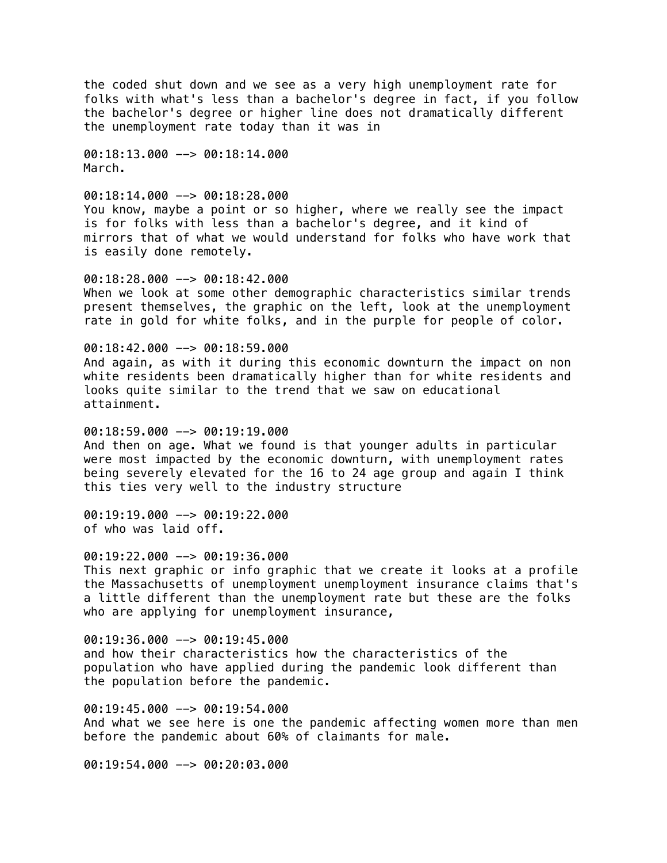the coded shut down and we see as a very high unemployment rate for folks with what's less than a bachelor's degree in fact, if you follow the bachelor's degree or higher line does not dramatically different the unemployment rate today than it was in

00:18:13.000 --> 00:18:14.000 March.

 $00:18:14.000$  -->  $00:18:28.000$ You know, maybe a point or so higher, where we really see the impact is for folks with less than a bachelor's degree, and it kind of mirrors that of what we would understand for folks who have work that is easily done remotely.

00:18:28.000 --> 00:18:42.000 When we look at some other demographic characteristics similar trends present themselves, the graphic on the left, look at the unemployment rate in gold for white folks, and in the purple for people of color.

 $00:18:42.000$  -->  $00:18:59.000$ 

And again, as with it during this economic downturn the impact on non white residents been dramatically higher than for white residents and looks quite similar to the trend that we saw on educational attainment.

00:18:59.000 --> 00:19:19.000 And then on age. What we found is that younger adults in particular were most impacted by the economic downturn, with unemployment rates being severely elevated for the 16 to 24 age group and again I think this ties very well to the industry structure

00:19:19.000 --> 00:19:22.000 of who was laid off.

 $00:19:22.000$  -->  $00:19:36.000$ This next graphic or info graphic that we create it looks at a profile the Massachusetts of unemployment unemployment insurance claims that's a little different than the unemployment rate but these are the folks who are applying for unemployment insurance,

00:19:36.000 --> 00:19:45.000 and how their characteristics how the characteristics of the population who have applied during the pandemic look different than the population before the pandemic.

00:19:45.000 --> 00:19:54.000 And what we see here is one the pandemic affecting women more than men before the pandemic about 60% of claimants for male.

00:19:54.000 --> 00:20:03.000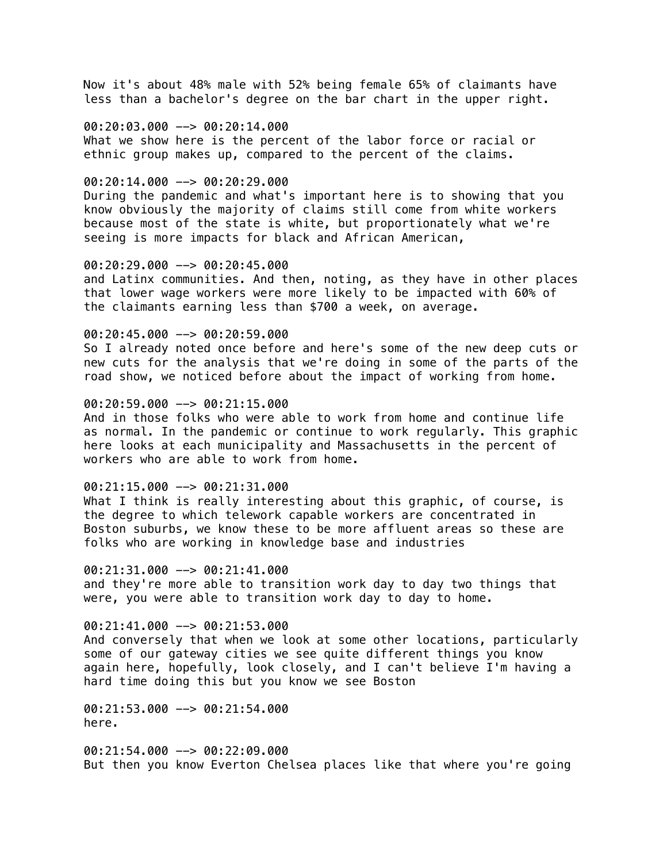Now it's about 48% male with 52% being female 65% of claimants have less than a bachelor's degree on the bar chart in the upper right.

### 00:20:03.000 --> 00:20:14.000

What we show here is the percent of the labor force or racial or ethnic group makes up, compared to the percent of the claims.

## $00:20:14.000$  -->  $00:20:29.000$

During the pandemic and what's important here is to showing that you know obviously the majority of claims still come from white workers because most of the state is white, but proportionately what we're seeing is more impacts for black and African American,

### 00:20:29.000 --> 00:20:45.000

and Latinx communities. And then, noting, as they have in other places that lower wage workers were more likely to be impacted with 60% of the claimants earning less than \$700 a week, on average.

#### 00:20:45.000 --> 00:20:59.000

So I already noted once before and here's some of the new deep cuts or new cuts for the analysis that we're doing in some of the parts of the road show, we noticed before about the impact of working from home.

# 00:20:59.000 --> 00:21:15.000

And in those folks who were able to work from home and continue life as normal. In the pandemic or continue to work regularly. This graphic here looks at each municipality and Massachusetts in the percent of workers who are able to work from home.

#### 00:21:15.000 --> 00:21:31.000

What I think is really interesting about this graphic, of course, is the degree to which telework capable workers are concentrated in Boston suburbs, we know these to be more affluent areas so these are folks who are working in knowledge base and industries

# 00:21:31.000 --> 00:21:41.000

and they're more able to transition work day to day two things that were, you were able to transition work day to day to home.

## $00:21:41.000$  -->  $00:21:53.000$

And conversely that when we look at some other locations, particularly some of our gateway cities we see quite different things you know again here, hopefully, look closely, and I can't believe I'm having a hard time doing this but you know we see Boston

00:21:53.000 --> 00:21:54.000 here.

00:21:54.000 --> 00:22:09.000 But then you know Everton Chelsea places like that where you're going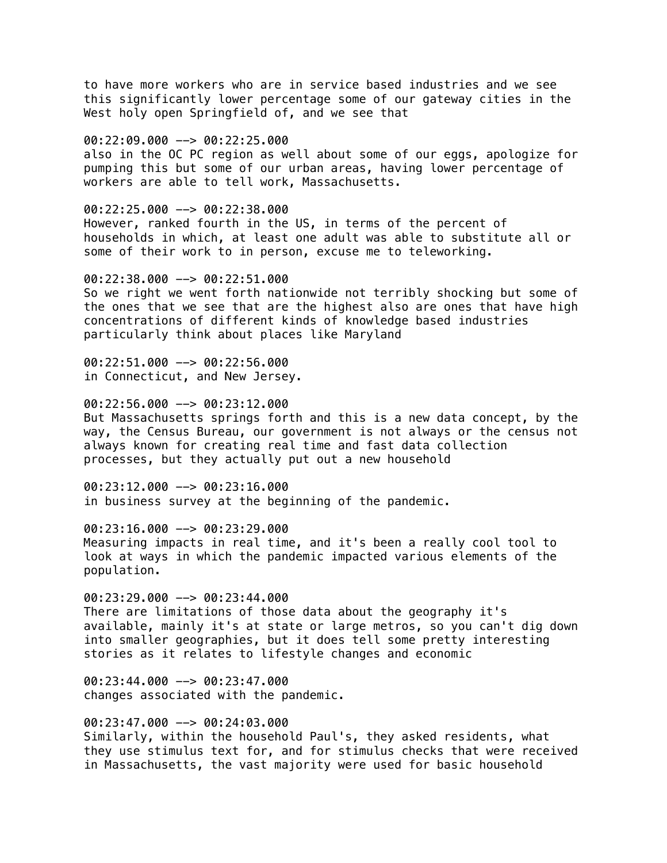to have more workers who are in service based industries and we see this significantly lower percentage some of our gateway cities in the West holy open Springfield of, and we see that

 $00:22:09.000$  -->  $00:22:25.000$ also in the OC PC region as well about some of our eggs, apologize for

pumping this but some of our urban areas, having lower percentage of workers are able to tell work, Massachusetts.

00:22:25.000 --> 00:22:38.000 However, ranked fourth in the US, in terms of the percent of households in which, at least one adult was able to substitute all or some of their work to in person, excuse me to teleworking.

00:22:38.000 --> 00:22:51.000

So we right we went forth nationwide not terribly shocking but some of the ones that we see that are the highest also are ones that have high concentrations of different kinds of knowledge based industries particularly think about places like Maryland

00:22:51.000 --> 00:22:56.000 in Connecticut, and New Jersey.

 $00:22:56.000$  -->  $00:23:12.000$ 

But Massachusetts springs forth and this is a new data concept, by the way, the Census Bureau, our government is not always or the census not always known for creating real time and fast data collection processes, but they actually put out a new household

00:23:12.000 --> 00:23:16.000 in business survey at the beginning of the pandemic.

00:23:16.000 --> 00:23:29.000 Measuring impacts in real time, and it's been a really cool tool to look at ways in which the pandemic impacted various elements of the population.

00:23:29.000 --> 00:23:44.000 There are limitations of those data about the geography it's available, mainly it's at state or large metros, so you can't dig down into smaller geographies, but it does tell some pretty interesting stories as it relates to lifestyle changes and economic

00:23:44.000 --> 00:23:47.000 changes associated with the pandemic.

00:23:47.000 --> 00:24:03.000 Similarly, within the household Paul's, they asked residents, what they use stimulus text for, and for stimulus checks that were received in Massachusetts, the vast majority were used for basic household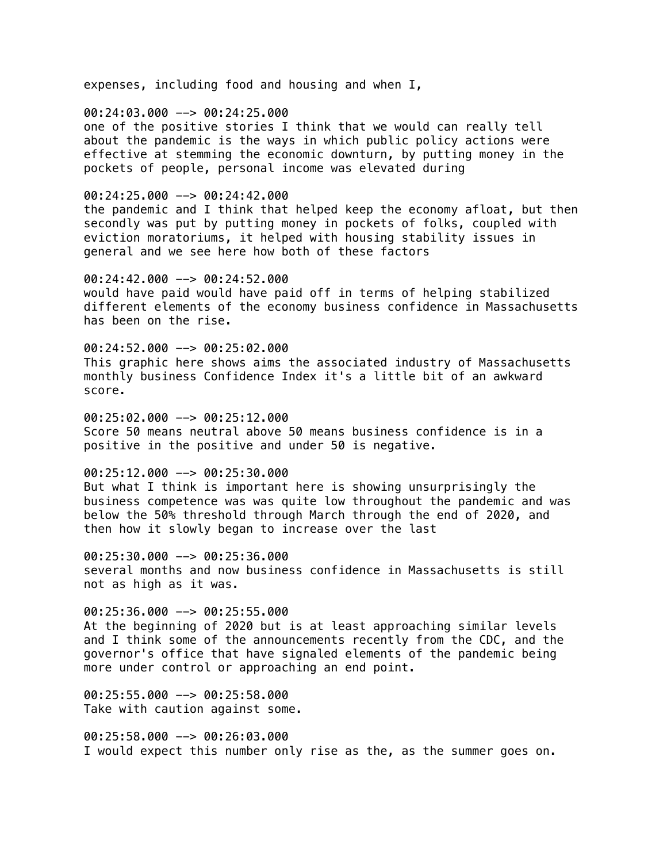expenses, including food and housing and when I,

00:24:03.000 --> 00:24:25.000 one of the positive stories I think that we would can really tell about the pandemic is the ways in which public policy actions were effective at stemming the economic downturn, by putting money in the pockets of people, personal income was elevated during

00:24:25.000 --> 00:24:42.000 the pandemic and I think that helped keep the economy afloat, but then secondly was put by putting money in pockets of folks, coupled with eviction moratoriums, it helped with housing stability issues in general and we see here how both of these factors

00:24:42.000 --> 00:24:52.000 would have paid would have paid off in terms of helping stabilized different elements of the economy business confidence in Massachusetts has been on the rise.

00:24:52.000 --> 00:25:02.000 This graphic here shows aims the associated industry of Massachusetts monthly business Confidence Index it's a little bit of an awkward score.

00:25:02.000 --> 00:25:12.000 Score 50 means neutral above 50 means business confidence is in a positive in the positive and under 50 is negative.

00:25:12.000 --> 00:25:30.000

But what I think is important here is showing unsurprisingly the business competence was was quite low throughout the pandemic and was below the 50% threshold through March through the end of 2020, and then how it slowly began to increase over the last

 $00:25:30.000$  -->  $00:25:36.000$ several months and now business confidence in Massachusetts is still not as high as it was.

00:25:36.000 --> 00:25:55.000 At the beginning of 2020 but is at least approaching similar levels and I think some of the announcements recently from the CDC, and the governor's office that have signaled elements of the pandemic being more under control or approaching an end point.

00:25:55.000 --> 00:25:58.000 Take with caution against some.

00:25:58.000 --> 00:26:03.000 I would expect this number only rise as the, as the summer goes on.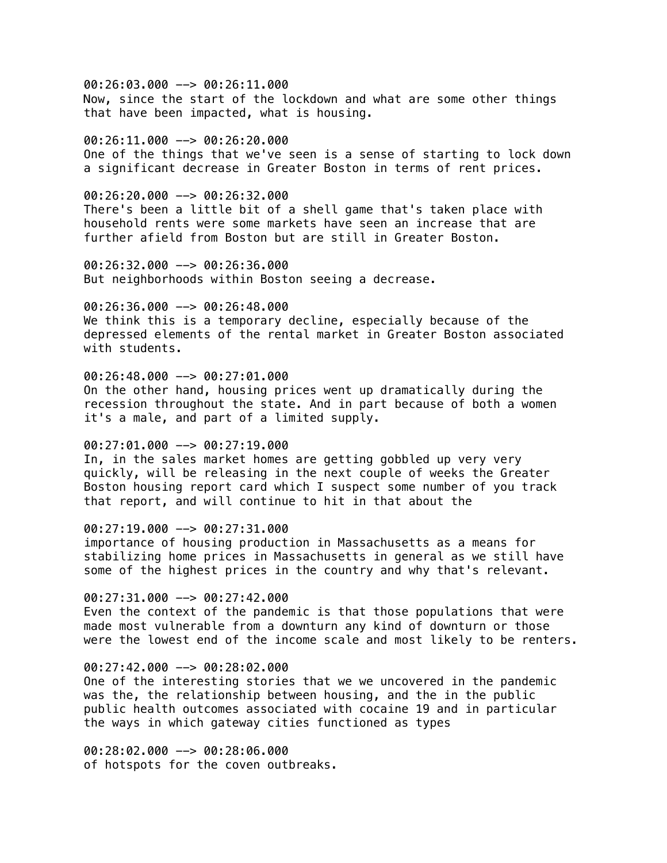00:26:03.000 --> 00:26:11.000 Now, since the start of the lockdown and what are some other things that have been impacted, what is housing.

# $00:26:11.000$  -->  $00:26:20.000$ One of the things that we've seen is a sense of starting to lock down a significant decrease in Greater Boston in terms of rent prices.

#### 00:26:20.000 --> 00:26:32.000

There's been a little bit of a shell game that's taken place with household rents were some markets have seen an increase that are further afield from Boston but are still in Greater Boston.

00:26:32.000 --> 00:26:36.000 But neighborhoods within Boston seeing a decrease.

## 00:26:36.000 --> 00:26:48.000

We think this is a temporary decline, especially because of the depressed elements of the rental market in Greater Boston associated with students.

## 00:26:48.000 --> 00:27:01.000

On the other hand, housing prices went up dramatically during the recession throughout the state. And in part because of both a women it's a male, and part of a limited supply.

# 00:27:01.000 --> 00:27:19.000

In, in the sales market homes are getting gobbled up very very quickly, will be releasing in the next couple of weeks the Greater Boston housing report card which I suspect some number of you track that report, and will continue to hit in that about the

# 00:27:19.000 --> 00:27:31.000

importance of housing production in Massachusetts as a means for stabilizing home prices in Massachusetts in general as we still have some of the highest prices in the country and why that's relevant.

00:27:31.000 --> 00:27:42.000 Even the context of the pandemic is that those populations that were made most vulnerable from a downturn any kind of downturn or those were the lowest end of the income scale and most likely to be renters.

### $00:27:42.000$  -->  $00:28:02.000$

One of the interesting stories that we we uncovered in the pandemic was the, the relationship between housing, and the in the public public health outcomes associated with cocaine 19 and in particular the ways in which gateway cities functioned as types

00:28:02.000 --> 00:28:06.000 of hotspots for the coven outbreaks.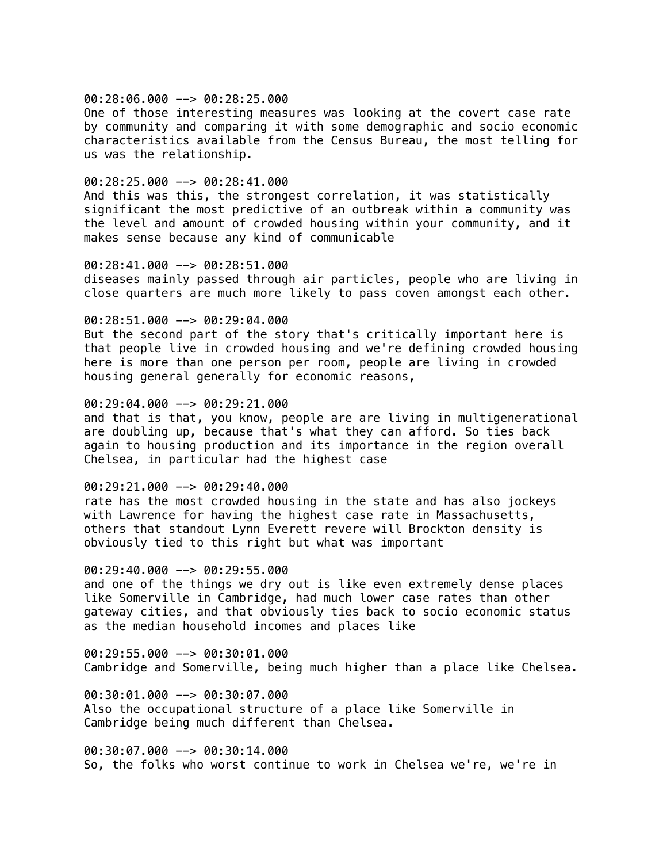#### $00:28:06.000$  -->  $00:28:25.000$

One of those interesting measures was looking at the covert case rate by community and comparing it with some demographic and socio economic characteristics available from the Census Bureau, the most telling for us was the relationship.

### 00:28:25.000 --> 00:28:41.000

And this was this, the strongest correlation, it was statistically significant the most predictive of an outbreak within a community was the level and amount of crowded housing within your community, and it makes sense because any kind of communicable

### 00:28:41.000 --> 00:28:51.000

diseases mainly passed through air particles, people who are living in close quarters are much more likely to pass coven amongst each other.

#### 00:28:51.000 --> 00:29:04.000

But the second part of the story that's critically important here is that people live in crowded housing and we're defining crowded housing here is more than one person per room, people are living in crowded housing general generally for economic reasons,

### 00:29:04.000 --> 00:29:21.000

and that is that, you know, people are are living in multigenerational are doubling up, because that's what they can afford. So ties back again to housing production and its importance in the region overall Chelsea, in particular had the highest case

### $00:29:21.000$  -->  $00:29:40.000$

rate has the most crowded housing in the state and has also jockeys with Lawrence for having the highest case rate in Massachusetts, others that standout Lynn Everett revere will Brockton density is obviously tied to this right but what was important

### 00:29:40.000 --> 00:29:55.000

and one of the things we dry out is like even extremely dense places like Somerville in Cambridge, had much lower case rates than other gateway cities, and that obviously ties back to socio economic status as the median household incomes and places like

00:29:55.000 --> 00:30:01.000 Cambridge and Somerville, being much higher than a place like Chelsea.

00:30:01.000 --> 00:30:07.000 Also the occupational structure of a place like Somerville in Cambridge being much different than Chelsea.

00:30:07.000 --> 00:30:14.000 So, the folks who worst continue to work in Chelsea we're, we're in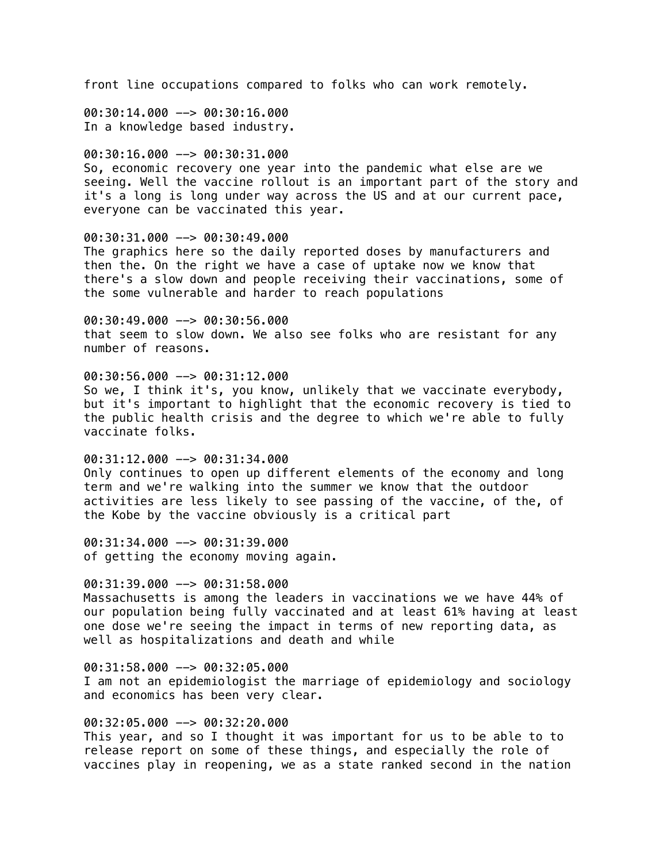front line occupations compared to folks who can work remotely.

00:30:14.000 --> 00:30:16.000 In a knowledge based industry.

#### 00:30:16.000 --> 00:30:31.000

So, economic recovery one year into the pandemic what else are we seeing. Well the vaccine rollout is an important part of the story and it's a long is long under way across the US and at our current pace, everyone can be vaccinated this year.

## 00:30:31.000 --> 00:30:49.000

The graphics here so the daily reported doses by manufacturers and then the. On the right we have a case of uptake now we know that there's a slow down and people receiving their vaccinations, some of the some vulnerable and harder to reach populations

00:30:49.000 --> 00:30:56.000 that seem to slow down. We also see folks who are resistant for any number of reasons.

## 00:30:56.000 --> 00:31:12.000

So we, I think it's, you know, unlikely that we vaccinate everybody, but it's important to highlight that the economic recovery is tied to the public health crisis and the degree to which we're able to fully vaccinate folks.

00:31:12.000 --> 00:31:34.000 Only continues to open up different elements of the economy and long term and we're walking into the summer we know that the outdoor activities are less likely to see passing of the vaccine, of the, of the Kobe by the vaccine obviously is a critical part

00:31:34.000 --> 00:31:39.000 of getting the economy moving again.

### $00:31:39.000$  -->  $00:31:58.000$

Massachusetts is among the leaders in vaccinations we we have 44% of our population being fully vaccinated and at least 61% having at least one dose we're seeing the impact in terms of new reporting data, as well as hospitalizations and death and while

 $00:31:58.000$  -->  $00:32:05.000$ I am not an epidemiologist the marriage of epidemiology and sociology and economics has been very clear.

## 00:32:05.000 --> 00:32:20.000

This year, and so I thought it was important for us to be able to to release report on some of these things, and especially the role of vaccines play in reopening, we as a state ranked second in the nation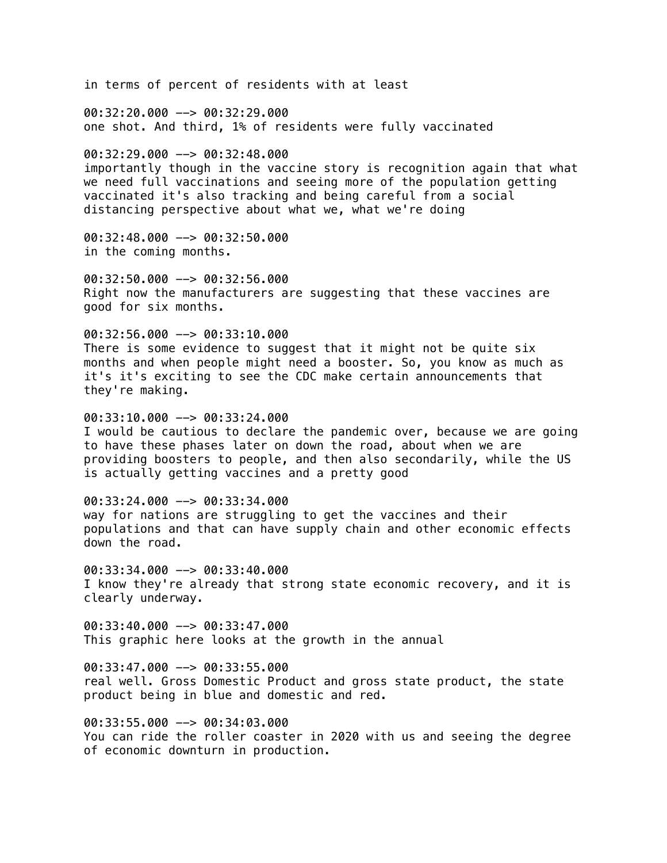in terms of percent of residents with at least 00:32:20.000 --> 00:32:29.000 one shot. And third, 1% of residents were fully vaccinated 00:32:29.000 --> 00:32:48.000 importantly though in the vaccine story is recognition again that what we need full vaccinations and seeing more of the population getting vaccinated it's also tracking and being careful from a social distancing perspective about what we, what we're doing 00:32:48.000 --> 00:32:50.000 in the coming months. 00:32:50.000 --> 00:32:56.000 Right now the manufacturers are suggesting that these vaccines are good for six months. 00:32:56.000 --> 00:33:10.000 There is some evidence to suggest that it might not be quite six months and when people might need a booster. So, you know as much as it's it's exciting to see the CDC make certain announcements that they're making.  $00:33:10.000$  -->  $00:33:24.000$ I would be cautious to declare the pandemic over, because we are going to have these phases later on down the road, about when we are providing boosters to people, and then also secondarily, while the US is actually getting vaccines and a pretty good 00:33:24.000 --> 00:33:34.000 way for nations are struggling to get the vaccines and their populations and that can have supply chain and other economic effects down the road. 00:33:34.000 --> 00:33:40.000 I know they're already that strong state economic recovery, and it is clearly underway. 00:33:40.000 --> 00:33:47.000 This graphic here looks at the growth in the annual  $00:33:47.000$  -->  $00:33:55.000$ real well. Gross Domestic Product and gross state product, the state product being in blue and domestic and red. 00:33:55.000 --> 00:34:03.000 You can ride the roller coaster in 2020 with us and seeing the degree of economic downturn in production.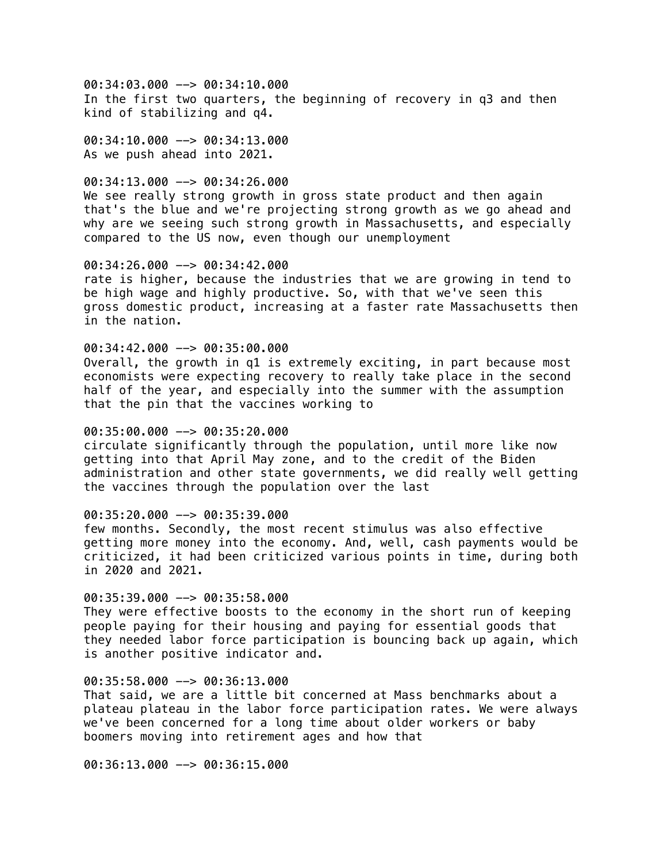00:34:03.000 --> 00:34:10.000 In the first two quarters, the beginning of recovery in q3 and then kind of stabilizing and q4.

 $00:34:10.000$  -->  $00:34:13.000$ As we push ahead into 2021.

# 00:34:13.000 --> 00:34:26.000

We see really strong growth in gross state product and then again that's the blue and we're projecting strong growth as we go ahead and why are we seeing such strong growth in Massachusetts, and especially compared to the US now, even though our unemployment

## 00:34:26.000 --> 00:34:42.000

rate is higher, because the industries that we are growing in tend to be high wage and highly productive. So, with that we've seen this gross domestic product, increasing at a faster rate Massachusetts then in the nation.

### 00:34:42.000 --> 00:35:00.000

Overall, the growth in q1 is extremely exciting, in part because most economists were expecting recovery to really take place in the second half of the year, and especially into the summer with the assumption that the pin that the vaccines working to

### 00:35:00.000 --> 00:35:20.000

circulate significantly through the population, until more like now getting into that April May zone, and to the credit of the Biden administration and other state governments, we did really well getting the vaccines through the population over the last

## 00:35:20.000 --> 00:35:39.000

few months. Secondly, the most recent stimulus was also effective getting more money into the economy. And, well, cash payments would be criticized, it had been criticized various points in time, during both in 2020 and 2021.

## 00:35:39.000 --> 00:35:58.000

They were effective boosts to the economy in the short run of keeping people paying for their housing and paying for essential goods that they needed labor force participation is bouncing back up again, which is another positive indicator and.

## 00:35:58.000 --> 00:36:13.000

That said, we are a little bit concerned at Mass benchmarks about a plateau plateau in the labor force participation rates. We were always we've been concerned for a long time about older workers or baby boomers moving into retirement ages and how that

00:36:13.000 --> 00:36:15.000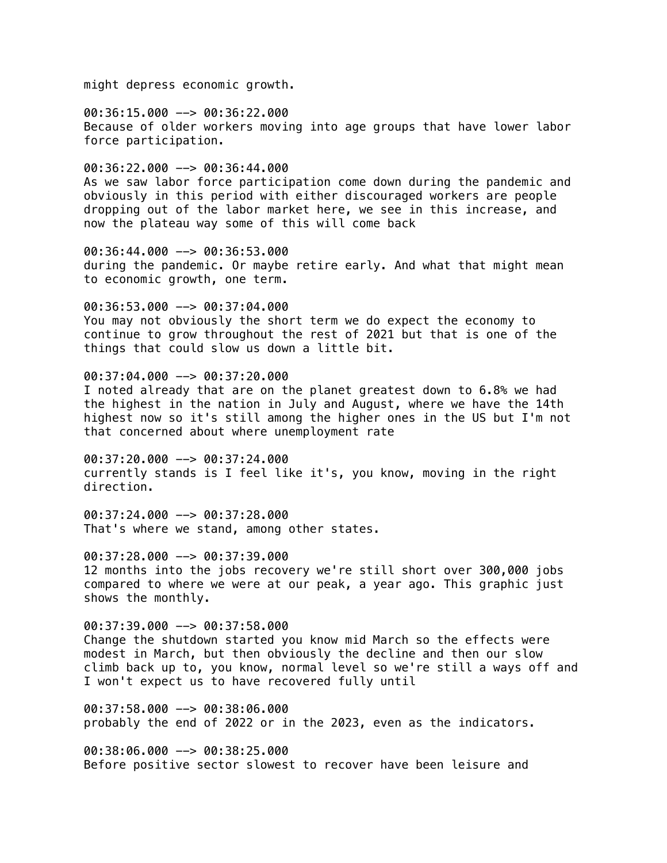might depress economic growth.

00:36:15.000 --> 00:36:22.000 Because of older workers moving into age groups that have lower labor force participation.

00:36:22.000 --> 00:36:44.000 As we saw labor force participation come down during the pandemic and obviously in this period with either discouraged workers are people dropping out of the labor market here, we see in this increase, and now the plateau way some of this will come back

00:36:44.000 --> 00:36:53.000 during the pandemic. Or maybe retire early. And what that might mean to economic growth, one term.

00:36:53.000 --> 00:37:04.000 You may not obviously the short term we do expect the economy to continue to grow throughout the rest of 2021 but that is one of the things that could slow us down a little bit.

00:37:04.000 --> 00:37:20.000 I noted already that are on the planet greatest down to 6.8% we had the highest in the nation in July and August, where we have the 14th highest now so it's still among the higher ones in the US but I'm not that concerned about where unemployment rate

00:37:20.000 --> 00:37:24.000 currently stands is I feel like it's, you know, moving in the right direction.

00:37:24.000 --> 00:37:28.000 That's where we stand, among other states.

00:37:28.000 --> 00:37:39.000 12 months into the jobs recovery we're still short over 300,000 jobs compared to where we were at our peak, a year ago. This graphic just shows the monthly.

00:37:39.000 --> 00:37:58.000 Change the shutdown started you know mid March so the effects were modest in March, but then obviously the decline and then our slow climb back up to, you know, normal level so we're still a ways off and I won't expect us to have recovered fully until

00:37:58.000 --> 00:38:06.000 probably the end of 2022 or in the 2023, even as the indicators.

00:38:06.000 --> 00:38:25.000 Before positive sector slowest to recover have been leisure and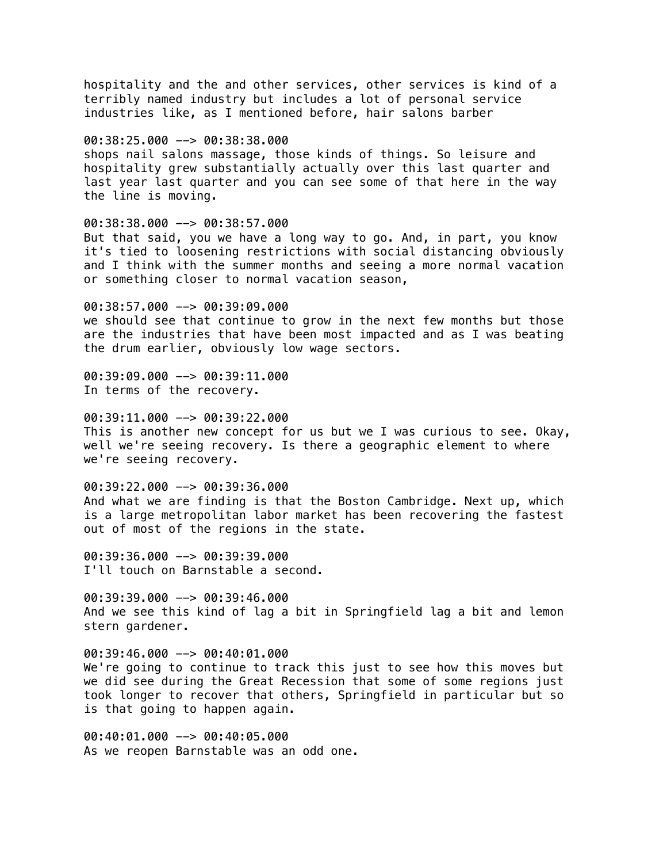hospitality and the and other services, other services is kind of a terribly named industry but includes a lot of personal service industries like, as I mentioned before, hair salons barber

00:38:25.000 --> 00:38:38.000 shops nail salons massage, those kinds of things. So leisure and hospitality grew substantially actually over this last quarter and last year last quarter and you can see some of that here in the way the line is moving.

00:38:38.000 --> 00:38:57.000 But that said, you we have a long way to go. And, in part, you know it's tied to loosening restrictions with social distancing obviously and I think with the summer months and seeing a more normal vacation or something closer to normal vacation season,

00:38:57.000 --> 00:39:09.000 we should see that continue to grow in the next few months but those are the industries that have been most impacted and as I was beating the drum earlier, obviously low wage sectors.

00:39:09.000 --> 00:39:11.000 In terms of the recovery.

00:39:11.000 --> 00:39:22.000 This is another new concept for us but we I was curious to see. Okay, well we're seeing recovery. Is there a geographic element to where we're seeing recovery.

 $00:39:22.000$  -->  $00:39:36.000$ And what we are finding is that the Boston Cambridge. Next up, which is a large metropolitan labor market has been recovering the fastest out of most of the regions in the state.

00:39:36.000 --> 00:39:39.000 I'll touch on Barnstable a second.

00:39:39.000 --> 00:39:46.000 And we see this kind of lag a bit in Springfield lag a bit and lemon stern gardener.

 $00:39:46.000$  -->  $00:40:01.000$ We're going to continue to track this just to see how this moves but we did see during the Great Recession that some of some regions just took longer to recover that others, Springfield in particular but so is that going to happen again.

00:40:01.000 --> 00:40:05.000 As we reopen Barnstable was an odd one.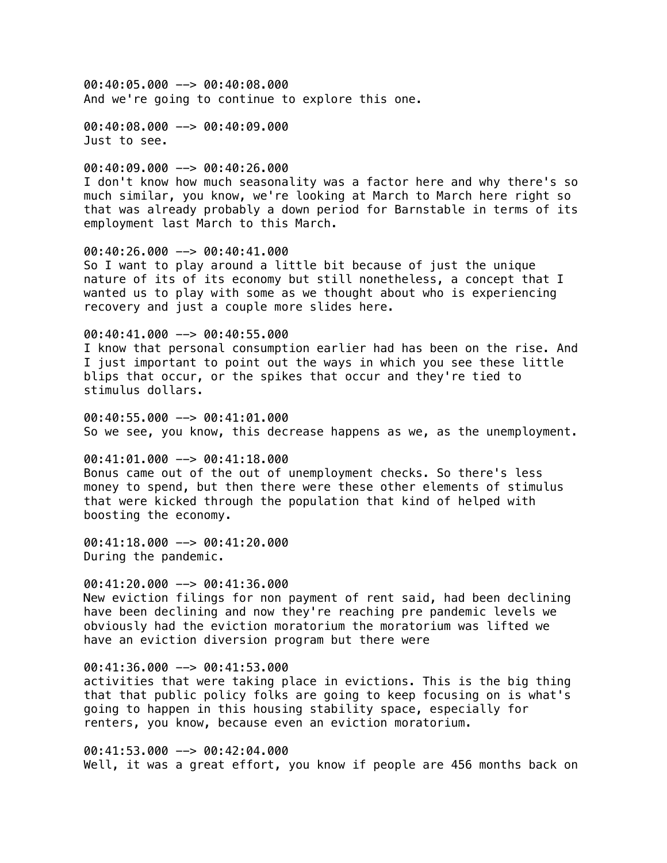00:40:05.000 --> 00:40:08.000 And we're going to continue to explore this one.

00:40:08.000 --> 00:40:09.000 Just to see.

00:40:09.000 --> 00:40:26.000 I don't know how much seasonality was a factor here and why there's so much similar, you know, we're looking at March to March here right so that was already probably a down period for Barnstable in terms of its employment last March to this March.

00:40:26.000 --> 00:40:41.000 So I want to play around a little bit because of just the unique nature of its of its economy but still nonetheless, a concept that I wanted us to play with some as we thought about who is experiencing recovery and just a couple more slides here.

00:40:41.000 --> 00:40:55.000

I know that personal consumption earlier had has been on the rise. And I just important to point out the ways in which you see these little blips that occur, or the spikes that occur and they're tied to stimulus dollars.

 $0.40:40:55.000$   $\rightarrow$  00:41:01.000 So we see, you know, this decrease happens as we, as the unemployment.

00:41:01.000 --> 00:41:18.000 Bonus came out of the out of unemployment checks. So there's less money to spend, but then there were these other elements of stimulus that were kicked through the population that kind of helped with boosting the economy.

00:41:18.000 --> 00:41:20.000 During the pandemic.

 $00:41:20.000$  -->  $00:41:36.000$ New eviction filings for non payment of rent said, had been declining have been declining and now they're reaching pre pandemic levels we obviously had the eviction moratorium the moratorium was lifted we have an eviction diversion program but there were

#### $00:41:36.000$  -->  $00:41:53.000$

activities that were taking place in evictions. This is the big thing that that public policy folks are going to keep focusing on is what's going to happen in this housing stability space, especially for renters, you know, because even an eviction moratorium.

00:41:53.000 --> 00:42:04.000 Well, it was a great effort, you know if people are 456 months back on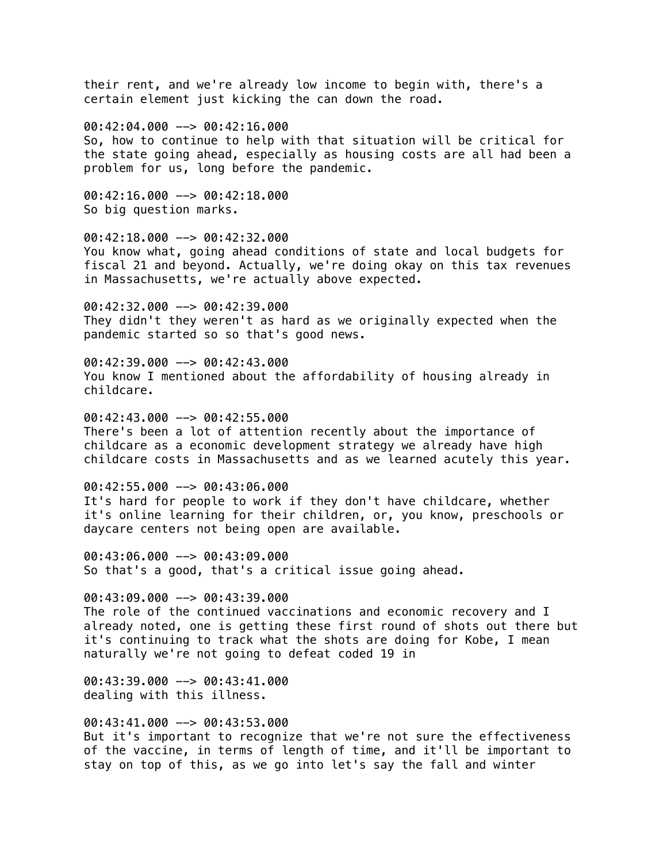their rent, and we're already low income to begin with, there's a certain element just kicking the can down the road.

00:42:04.000 --> 00:42:16.000

So, how to continue to help with that situation will be critical for the state going ahead, especially as housing costs are all had been a problem for us, long before the pandemic.

00:42:16.000 --> 00:42:18.000 So big question marks.

00:42:18.000 --> 00:42:32.000 You know what, going ahead conditions of state and local budgets for fiscal 21 and beyond. Actually, we're doing okay on this tax revenues in Massachusetts, we're actually above expected.

00:42:32.000 --> 00:42:39.000 They didn't they weren't as hard as we originally expected when the pandemic started so so that's good news.

00:42:39.000 --> 00:42:43.000 You know I mentioned about the affordability of housing already in childcare.

00:42:43.000 --> 00:42:55.000 There's been a lot of attention recently about the importance of childcare as a economic development strategy we already have high childcare costs in Massachusetts and as we learned acutely this year.

00:42:55.000 --> 00:43:06.000 It's hard for people to work if they don't have childcare, whether it's online learning for their children, or, you know, preschools or daycare centers not being open are available.

00:43:06.000 --> 00:43:09.000 So that's a good, that's a critical issue going ahead.

00:43:09.000 --> 00:43:39.000 The role of the continued vaccinations and economic recovery and I already noted, one is getting these first round of shots out there but it's continuing to track what the shots are doing for Kobe, I mean naturally we're not going to defeat coded 19 in

00:43:39.000 --> 00:43:41.000 dealing with this illness.

00:43:41.000 --> 00:43:53.000

But it's important to recognize that we're not sure the effectiveness of the vaccine, in terms of length of time, and it'll be important to stay on top of this, as we go into let's say the fall and winter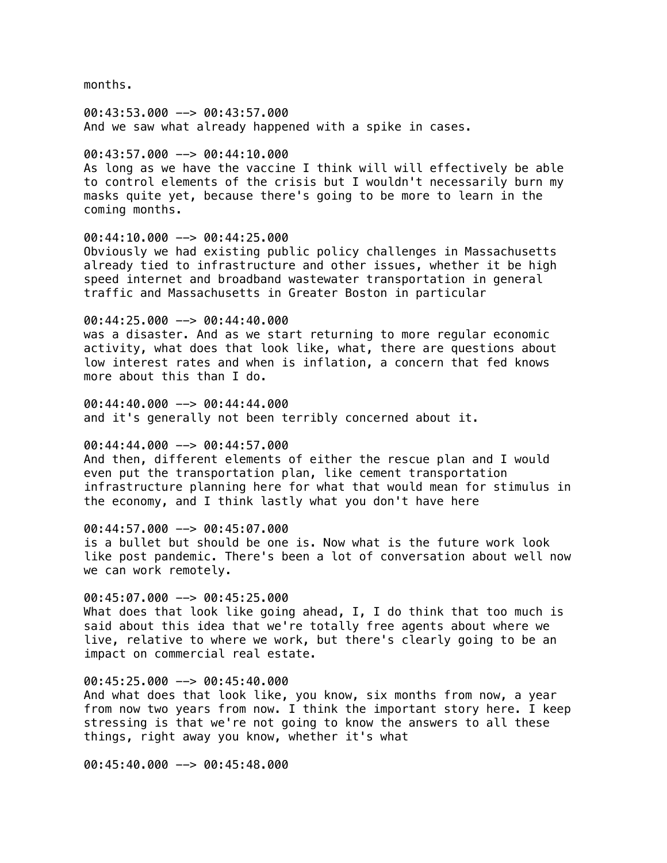months.

00:43:53.000 --> 00:43:57.000 And we saw what already happened with a spike in cases.

### 00:43:57.000 --> 00:44:10.000

As long as we have the vaccine I think will will effectively be able to control elements of the crisis but I wouldn't necessarily burn my masks quite yet, because there's going to be more to learn in the coming months.

### 00:44:10.000 --> 00:44:25.000

Obviously we had existing public policy challenges in Massachusetts already tied to infrastructure and other issues, whether it be high speed internet and broadband wastewater transportation in general traffic and Massachusetts in Greater Boston in particular

### 00:44:25.000 --> 00:44:40.000

was a disaster. And as we start returning to more regular economic activity, what does that look like, what, there are questions about low interest rates and when is inflation, a concern that fed knows more about this than I do.

 $00:44:40.000$  -->  $00:44:44.000$ and it's generally not been terribly concerned about it.

# 00:44:44.000 --> 00:44:57.000

And then, different elements of either the rescue plan and I would even put the transportation plan, like cement transportation infrastructure planning here for what that would mean for stimulus in the economy, and I think lastly what you don't have here

# 00:44:57.000 --> 00:45:07.000

is a bullet but should be one is. Now what is the future work look like post pandemic. There's been a lot of conversation about well now we can work remotely.

# 00:45:07.000 --> 00:45:25.000

What does that look like going ahead, I, I do think that too much is said about this idea that we're totally free agents about where we live, relative to where we work, but there's clearly going to be an impact on commercial real estate.

#### 00:45:25.000 --> 00:45:40.000

And what does that look like, you know, six months from now, a year from now two years from now. I think the important story here. I keep stressing is that we're not going to know the answers to all these things, right away you know, whether it's what

00:45:40.000 --> 00:45:48.000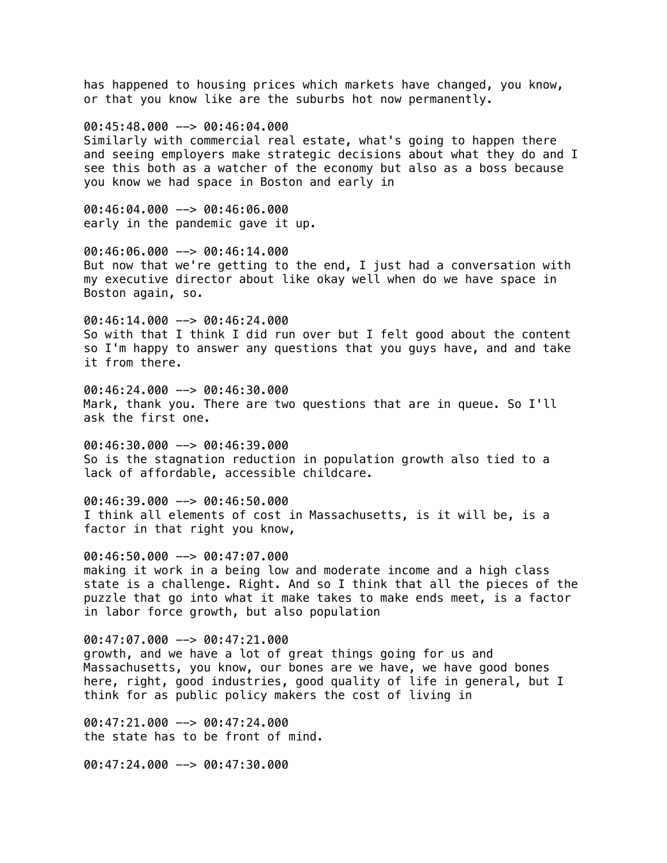has happened to housing prices which markets have changed, you know, or that you know like are the suburbs hot now permanently.

00:45:48.000 --> 00:46:04.000

Similarly with commercial real estate, what's going to happen there and seeing employers make strategic decisions about what they do and I see this both as a watcher of the economy but also as a boss because you know we had space in Boston and early in

00:46:04.000 --> 00:46:06.000 early in the pandemic gave it up.

00:46:06.000 --> 00:46:14.000 But now that we're getting to the end, I just had a conversation with my executive director about like okay well when do we have space in Boston again, so.

00:46:14.000 --> 00:46:24.000 So with that I think I did run over but I felt good about the content so I'm happy to answer any questions that you guys have, and and take it from there.

00:46:24.000 --> 00:46:30.000 Mark, thank you. There are two questions that are in queue. So I'll ask the first one.

00:46:30.000 --> 00:46:39.000 So is the stagnation reduction in population growth also tied to a lack of affordable, accessible childcare.

00:46:39.000 --> 00:46:50.000 I think all elements of cost in Massachusetts, is it will be, is a factor in that right you know,

00:46:50.000 --> 00:47:07.000 making it work in a being low and moderate income and a high class state is a challenge. Right. And so I think that all the pieces of the puzzle that go into what it make takes to make ends meet, is a factor in labor force growth, but also population

00:47:07.000 --> 00:47:21.000 growth, and we have a lot of great things going for us and Massachusetts, you know, our bones are we have, we have good bones here, right, good industries, good quality of life in general, but I think for as public policy makers the cost of living in

00:47:21.000 --> 00:47:24.000 the state has to be front of mind.

00:47:24.000 --> 00:47:30.000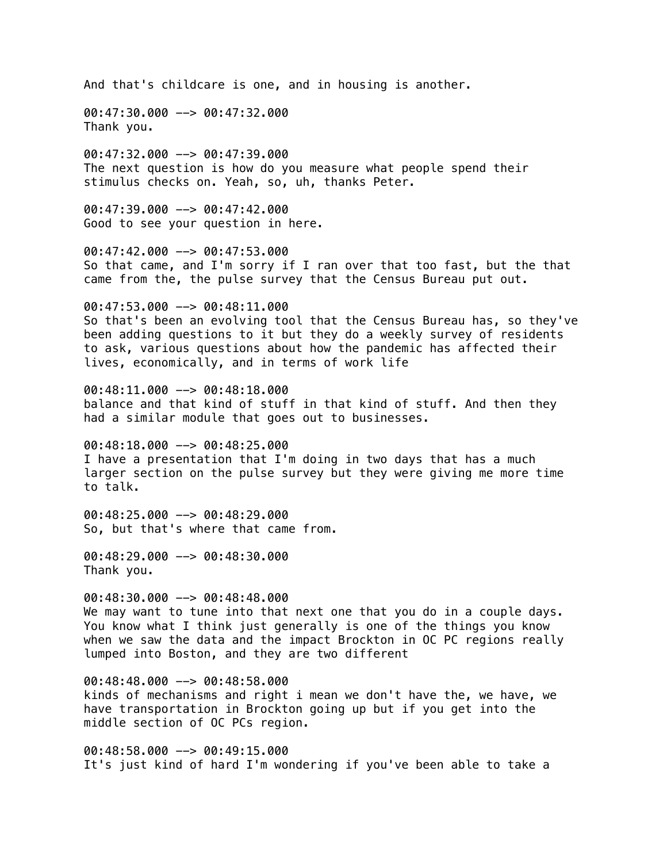And that's childcare is one, and in housing is another.

00:47:30.000 --> 00:47:32.000 Thank you.

00:47:32.000 --> 00:47:39.000 The next question is how do you measure what people spend their stimulus checks on. Yeah, so, uh, thanks Peter.

00:47:39.000 --> 00:47:42.000 Good to see your question in here.

00:47:42.000 --> 00:47:53.000 So that came, and I'm sorry if I ran over that too fast, but the that came from the, the pulse survey that the Census Bureau put out.

00:47:53.000 --> 00:48:11.000 So that's been an evolving tool that the Census Bureau has, so they've been adding questions to it but they do a weekly survey of residents to ask, various questions about how the pandemic has affected their lives, economically, and in terms of work life

00:48:11.000 --> 00:48:18.000 balance and that kind of stuff in that kind of stuff. And then they had a similar module that goes out to businesses.

 $00:48:18.000$   $\rightarrow$  00:48:25.000 I have a presentation that I'm doing in two days that has a much larger section on the pulse survey but they were giving me more time to talk.

00:48:25.000 --> 00:48:29.000 So, but that's where that came from.

00:48:29.000 --> 00:48:30.000 Thank you.

00:48:30.000 --> 00:48:48.000 We may want to tune into that next one that you do in a couple days. You know what I think just generally is one of the things you know when we saw the data and the impact Brockton in OC PC regions really lumped into Boston, and they are two different

00:48:48.000 --> 00:48:58.000 kinds of mechanisms and right i mean we don't have the, we have, we have transportation in Brockton going up but if you get into the middle section of OC PCs region.

00:48:58.000 --> 00:49:15.000 It's just kind of hard I'm wondering if you've been able to take a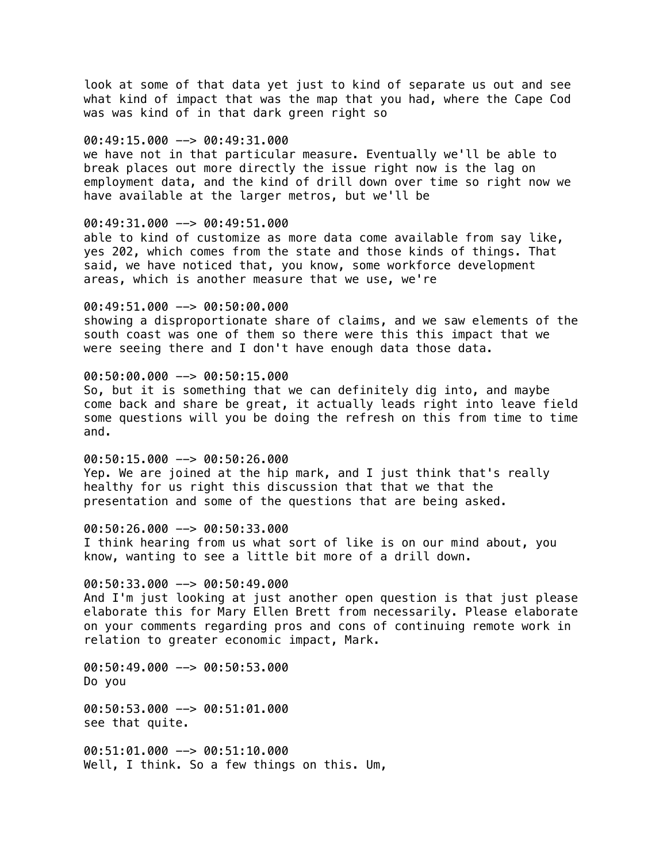look at some of that data yet just to kind of separate us out and see what kind of impact that was the map that you had, where the Cape Cod was was kind of in that dark green right so

### 00:49:15.000 --> 00:49:31.000

we have not in that particular measure. Eventually we'll be able to break places out more directly the issue right now is the lag on employment data, and the kind of drill down over time so right now we have available at the larger metros, but we'll be

### 00:49:31.000 --> 00:49:51.000

able to kind of customize as more data come available from say like, yes 202, which comes from the state and those kinds of things. That said, we have noticed that, you know, some workforce development areas, which is another measure that we use, we're

#### 00:49:51.000 --> 00:50:00.000

showing a disproportionate share of claims, and we saw elements of the south coast was one of them so there were this this impact that we were seeing there and I don't have enough data those data.

### 00:50:00.000 --> 00:50:15.000

So, but it is something that we can definitely dig into, and maybe come back and share be great, it actually leads right into leave field some questions will you be doing the refresh on this from time to time and.

00:50:15.000 --> 00:50:26.000 Yep. We are joined at the hip mark, and I just think that's really healthy for us right this discussion that that we that the presentation and some of the questions that are being asked.

#### 00:50:26.000 --> 00:50:33.000

I think hearing from us what sort of like is on our mind about, you know, wanting to see a little bit more of a drill down.

#### $00:50:33.000$  -->  $00:50:49.000$

And I'm just looking at just another open question is that just please elaborate this for Mary Ellen Brett from necessarily. Please elaborate on your comments regarding pros and cons of continuing remote work in relation to greater economic impact, Mark.

00:50:49.000 --> 00:50:53.000 Do you

00:50:53.000 --> 00:51:01.000 see that quite.

00:51:01.000 --> 00:51:10.000 Well, I think. So a few things on this. Um,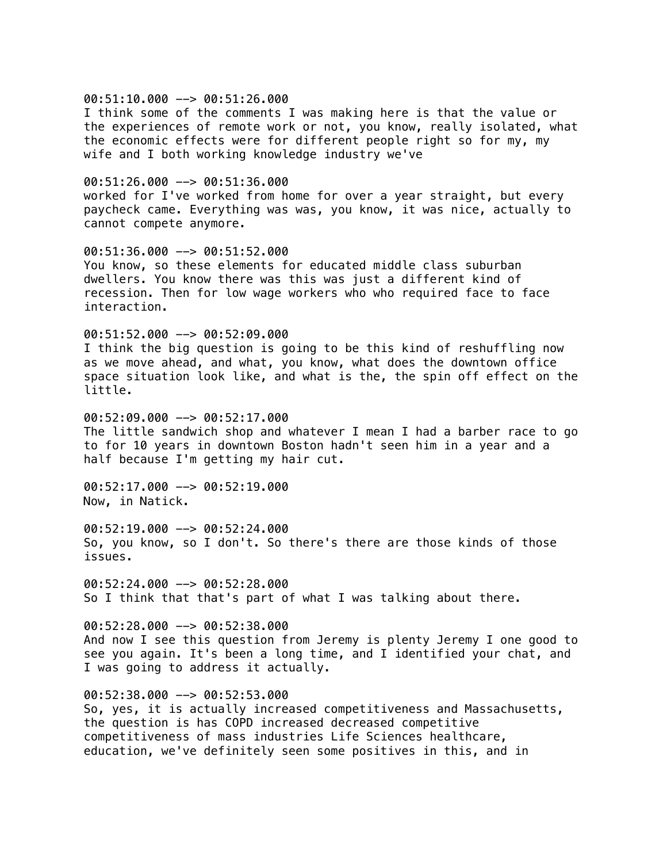#### $00:51:10.000$  -->  $00:51:26.000$

I think some of the comments I was making here is that the value or the experiences of remote work or not, you know, really isolated, what the economic effects were for different people right so for my, my wife and I both working knowledge industry we've

## $00:51:26.000$  -->  $00:51:36.000$

worked for I've worked from home for over a year straight, but every paycheck came. Everything was was, you know, it was nice, actually to cannot compete anymore.

00:51:36.000 --> 00:51:52.000 You know, so these elements for educated middle class suburban dwellers. You know there was this was just a different kind of recession. Then for low wage workers who who required face to face interaction.

#### 00:51:52.000 --> 00:52:09.000

I think the big question is going to be this kind of reshuffling now as we move ahead, and what, you know, what does the downtown office space situation look like, and what is the, the spin off effect on the little.

 $00:52:09.000$   $\rightarrow$  00:52:17.000 The little sandwich shop and whatever I mean I had a barber race to go to for 10 years in downtown Boston hadn't seen him in a year and a half because I'm getting my hair cut.

00:52:17.000 --> 00:52:19.000 Now, in Natick.

00:52:19.000 --> 00:52:24.000 So, you know, so I don't. So there's there are those kinds of those issues.

 $00:52:24.000$  -->  $00:52:28.000$ So I think that that's part of what I was talking about there.

00:52:28.000 --> 00:52:38.000 And now I see this question from Jeremy is plenty Jeremy I one good to see you again. It's been a long time, and I identified your chat, and I was going to address it actually.

# 00:52:38.000 --> 00:52:53.000

So, yes, it is actually increased competitiveness and Massachusetts, the question is has COPD increased decreased competitive competitiveness of mass industries Life Sciences healthcare, education, we've definitely seen some positives in this, and in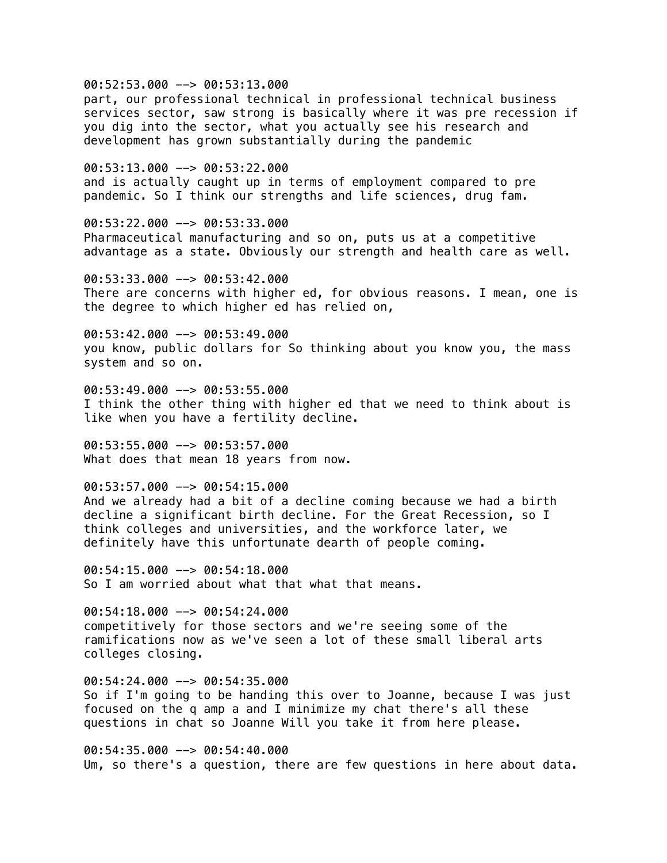# 00:52:53.000 --> 00:53:13.000

part, our professional technical in professional technical business services sector, saw strong is basically where it was pre recession if you dig into the sector, what you actually see his research and development has grown substantially during the pandemic

00:53:13.000 --> 00:53:22.000 and is actually caught up in terms of employment compared to pre pandemic. So I think our strengths and life sciences, drug fam.

00:53:22.000 --> 00:53:33.000 Pharmaceutical manufacturing and so on, puts us at a competitive advantage as a state. Obviously our strength and health care as well.

00:53:33.000 --> 00:53:42.000 There are concerns with higher ed, for obvious reasons. I mean, one is the degree to which higher ed has relied on,

00:53:42.000 --> 00:53:49.000 you know, public dollars for So thinking about you know you, the mass system and so on.

00:53:49.000 --> 00:53:55.000 I think the other thing with higher ed that we need to think about is like when you have a fertility decline.

00:53:55.000 --> 00:53:57.000 What does that mean 18 years from now.

# $00:53:57.000$  -->  $00:54:15.000$

And we already had a bit of a decline coming because we had a birth decline a significant birth decline. For the Great Recession, so I think colleges and universities, and the workforce later, we definitely have this unfortunate dearth of people coming.

 $00:54:15.000$  -->  $00:54:18.000$ So I am worried about what that what that means.

00:54:18.000 --> 00:54:24.000 competitively for those sectors and we're seeing some of the ramifications now as we've seen a lot of these small liberal arts colleges closing.

00:54:24.000 --> 00:54:35.000 So if I'm going to be handing this over to Joanne, because I was just focused on the q amp a and I minimize my chat there's all these questions in chat so Joanne Will you take it from here please.

00:54:35.000 --> 00:54:40.000 Um, so there's a question, there are few questions in here about data.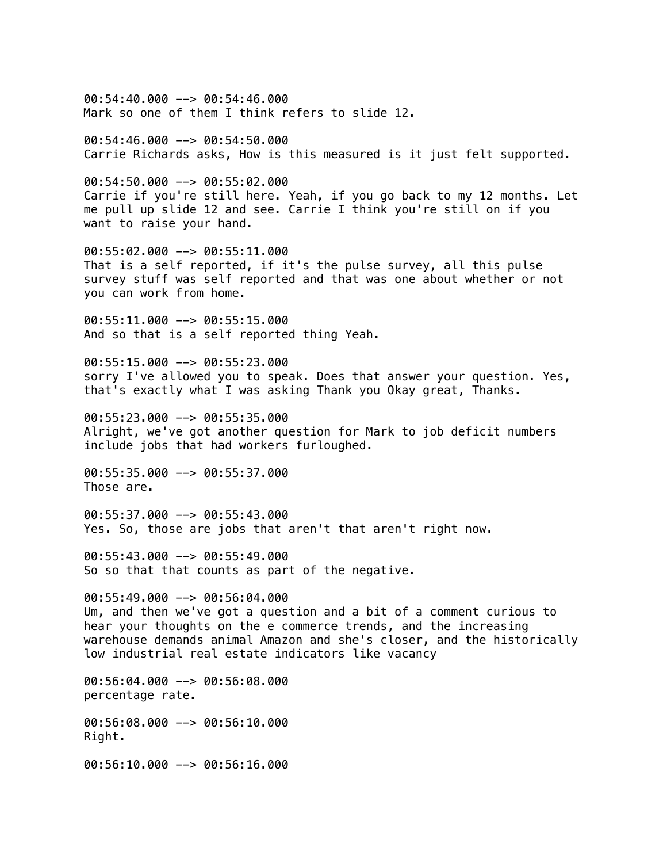$00:54:40.000$  -->  $00:54:46.000$ Mark so one of them I think refers to slide 12.

00:54:46.000 --> 00:54:50.000 Carrie Richards asks, How is this measured is it just felt supported.

00:54:50.000 --> 00:55:02.000 Carrie if you're still here. Yeah, if you go back to my 12 months. Let me pull up slide 12 and see. Carrie I think you're still on if you want to raise your hand.

00:55:02.000 --> 00:55:11.000 That is a self reported, if it's the pulse survey, all this pulse survey stuff was self reported and that was one about whether or not you can work from home.

00:55:11.000 --> 00:55:15.000 And so that is a self reported thing Yeah.

00:55:15.000 --> 00:55:23.000 sorry I've allowed you to speak. Does that answer your question. Yes, that's exactly what I was asking Thank you Okay great, Thanks.

00:55:23.000 --> 00:55:35.000 Alright, we've got another question for Mark to job deficit numbers include jobs that had workers furloughed.

00:55:35.000 --> 00:55:37.000 Those are.

00:55:37.000 --> 00:55:43.000 Yes. So, those are jobs that aren't that aren't right now.

00:55:43.000 --> 00:55:49.000 So so that that counts as part of the negative.

00:55:49.000 --> 00:56:04.000 Um, and then we've got a question and a bit of a comment curious to hear your thoughts on the e commerce trends, and the increasing warehouse demands animal Amazon and she's closer, and the historically low industrial real estate indicators like vacancy

00:56:04.000 --> 00:56:08.000 percentage rate.

00:56:08.000 --> 00:56:10.000 Right.

00:56:10.000 --> 00:56:16.000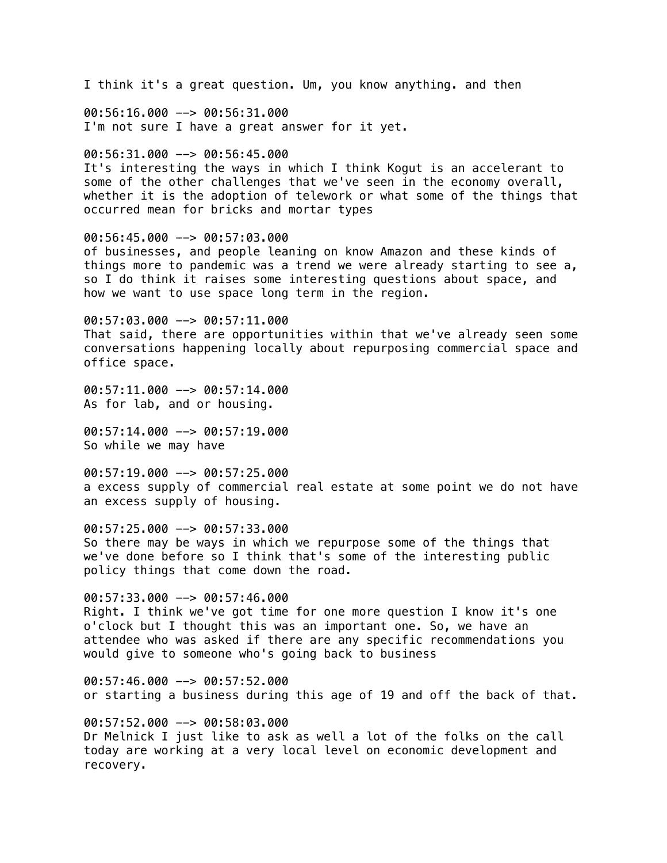I think it's a great question. Um, you know anything. and then 00:56:16.000 --> 00:56:31.000 I'm not sure I have a great answer for it yet. 00:56:31.000 --> 00:56:45.000 It's interesting the ways in which I think Kogut is an accelerant to some of the other challenges that we've seen in the economy overall, whether it is the adoption of telework or what some of the things that occurred mean for bricks and mortar types 00:56:45.000 --> 00:57:03.000 of businesses, and people leaning on know Amazon and these kinds of things more to pandemic was a trend we were already starting to see a, so I do think it raises some interesting questions about space, and how we want to use space long term in the region. 00:57:03.000 --> 00:57:11.000 That said, there are opportunities within that we've already seen some conversations happening locally about repurposing commercial space and office space. 00:57:11.000 --> 00:57:14.000 As for lab, and or housing.  $00:57:14.000$  -->  $00:57:19.000$ So while we may have 00:57:19.000 --> 00:57:25.000 a excess supply of commercial real estate at some point we do not have an excess supply of housing. 00:57:25.000 --> 00:57:33.000 So there may be ways in which we repurpose some of the things that we've done before so I think that's some of the interesting public policy things that come down the road. 00:57:33.000 --> 00:57:46.000 Right. I think we've got time for one more question I know it's one o'clock but I thought this was an important one. So, we have an attendee who was asked if there are any specific recommendations you would give to someone who's going back to business 00:57:46.000 --> 00:57:52.000 or starting a business during this age of 19 and off the back of that. 00:57:52.000 --> 00:58:03.000 Dr Melnick I just like to ask as well a lot of the folks on the call today are working at a very local level on economic development and recovery.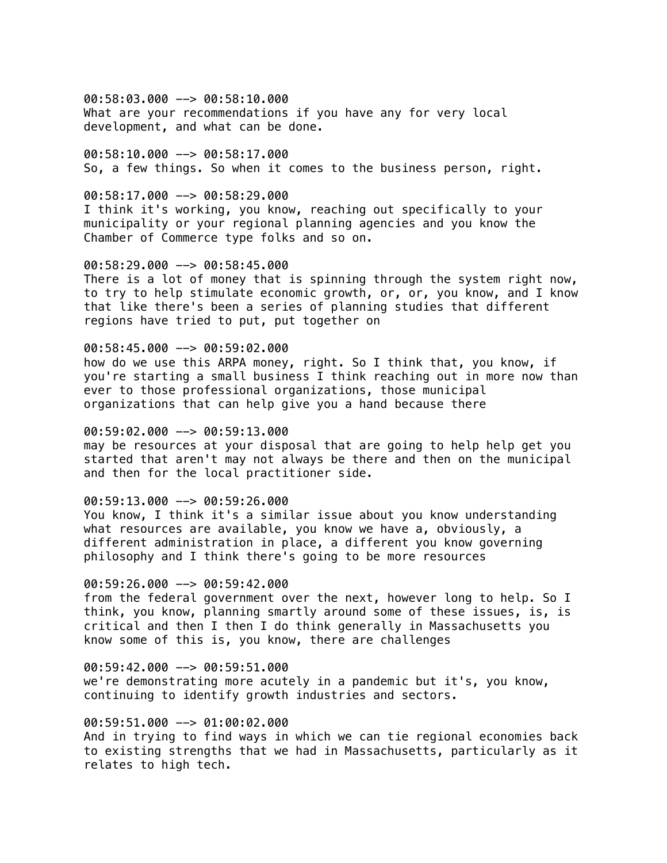00:58:03.000 --> 00:58:10.000 What are your recommendations if you have any for very local development, and what can be done.

00:58:10.000 --> 00:58:17.000 So, a few things. So when it comes to the business person, right.

#### 00:58:17.000 --> 00:58:29.000

I think it's working, you know, reaching out specifically to your municipality or your regional planning agencies and you know the Chamber of Commerce type folks and so on.

# 00:58:29.000 --> 00:58:45.000

There is a lot of money that is spinning through the system right now, to try to help stimulate economic growth, or, or, you know, and I know that like there's been a series of planning studies that different regions have tried to put, put together on

## 00:58:45.000 --> 00:59:02.000

how do we use this ARPA money, right. So I think that, you know, if you're starting a small business I think reaching out in more now than ever to those professional organizations, those municipal organizations that can help give you a hand because there

### 00:59:02.000 --> 00:59:13.000

may be resources at your disposal that are going to help help get you started that aren't may not always be there and then on the municipal and then for the local practitioner side.

#### 00:59:13.000 --> 00:59:26.000

You know, I think it's a similar issue about you know understanding what resources are available, you know we have a, obviously, a different administration in place, a different you know governing philosophy and I think there's going to be more resources

#### $00:59:26.000$  -->  $00:59:42.000$

from the federal government over the next, however long to help. So I think, you know, planning smartly around some of these issues, is, is critical and then I then I do think generally in Massachusetts you know some of this is, you know, there are challenges

#### $00:59:42.000$  -->  $00:59:51.000$

we're demonstrating more acutely in a pandemic but it's, you know, continuing to identify growth industries and sectors.

# 00:59:51.000 --> 01:00:02.000

And in trying to find ways in which we can tie regional economies back to existing strengths that we had in Massachusetts, particularly as it relates to high tech.